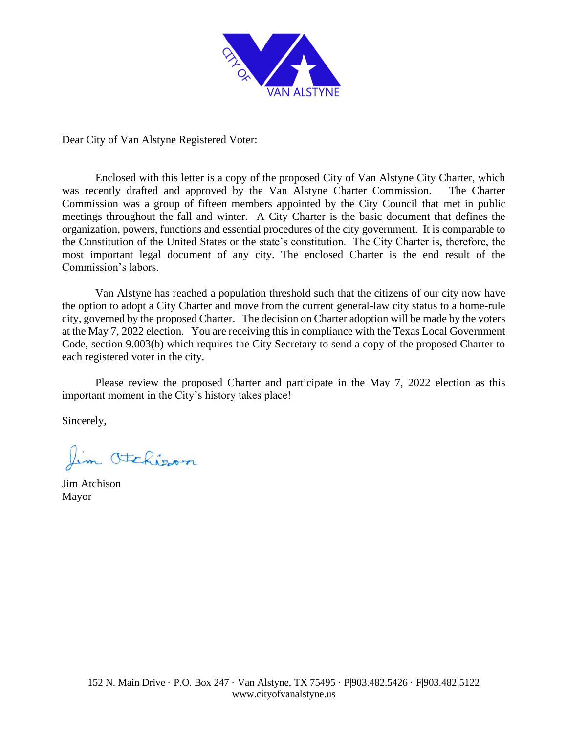

Dear City of Van Alstyne Registered Voter:

Enclosed with this letter is a copy of the proposed City of Van Alstyne City Charter, which was recently drafted and approved by the Van Alstyne Charter Commission. The Charter Commission was a group of fifteen members appointed by the City Council that met in public meetings throughout the fall and winter. A City Charter is the basic document that defines the organization, powers, functions and essential procedures of the city government. It is comparable to the Constitution of the United States or the state's constitution. The City Charter is, therefore, the most important legal document of any city. The enclosed Charter is the end result of the Commission's labors.

Van Alstyne has reached a population threshold such that the citizens of our city now have the option to adopt a City Charter and move from the current general-law city status to a home-rule city, governed by the proposed Charter. The decision on Charter adoption will be made by the voters at the May 7, 2022 election. You are receiving this in compliance with the Texas Local Government Code, section 9.003(b) which requires the City Secretary to send a copy of the proposed Charter to each registered voter in the city.

Please review the proposed Charter and participate in the May 7, 2022 election as this important moment in the City's history takes place!

Sincerely,

Jim Otchisson

Jim Atchison Mayor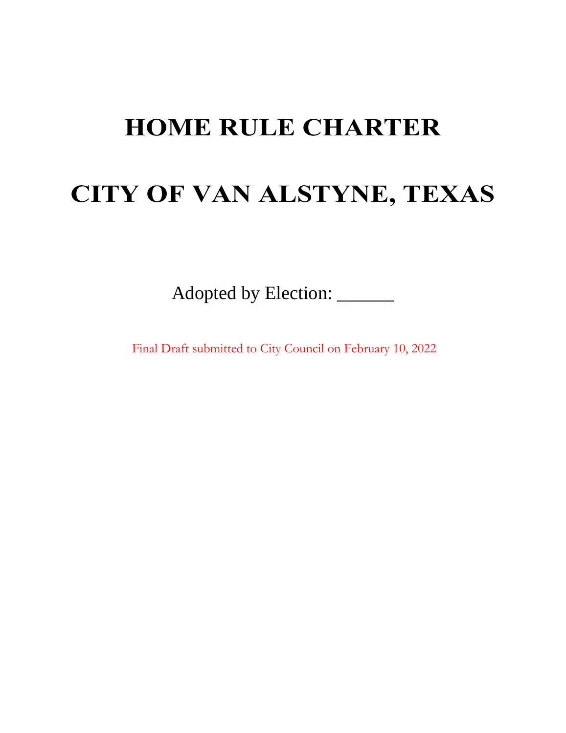# **HOME RULE CHARTER**

# **CITY OF VAN ALSTYNE, TEXAS**

Adopted by Election: \_\_\_\_\_\_

Final Draft submitted to City Council on February 10, 2022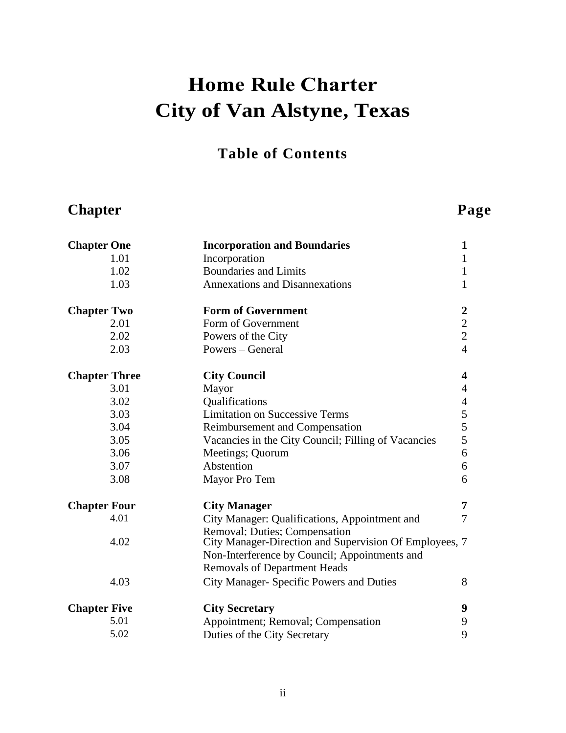# **Home Rule Charter City of Van Alstyne, Texas**

### **Table of Contents**

## **Chapter Page**

| <b>Chapter One</b>   | <b>Incorporation and Boundaries</b>                                                            | $\mathbf{1}$     |
|----------------------|------------------------------------------------------------------------------------------------|------------------|
| 1.01                 | Incorporation                                                                                  | $\mathbf{1}$     |
| 1.02                 | <b>Boundaries and Limits</b>                                                                   | $\mathbf{1}$     |
| 1.03                 | <b>Annexations and Disannexations</b>                                                          | $\mathbf{1}$     |
| <b>Chapter Two</b>   | <b>Form of Government</b>                                                                      | $\boldsymbol{2}$ |
| 2.01                 | Form of Government                                                                             | $\overline{2}$   |
| 2.02                 | Powers of the City                                                                             | $\overline{2}$   |
| 2.03                 | Powers – General                                                                               | $\overline{4}$   |
| <b>Chapter Three</b> | <b>City Council</b>                                                                            | 4                |
| 3.01                 | Mayor                                                                                          | $\overline{4}$   |
| 3.02                 | Qualifications                                                                                 | $\overline{4}$   |
| 3.03                 | <b>Limitation on Successive Terms</b>                                                          | 5                |
| 3.04                 | Reimbursement and Compensation                                                                 | 5                |
| 3.05                 | Vacancies in the City Council; Filling of Vacancies                                            | 5                |
| 3.06                 | Meetings; Quorum                                                                               | 6                |
| 3.07                 | Abstention                                                                                     | 6                |
| 3.08                 | Mayor Pro Tem                                                                                  | 6                |
| <b>Chapter Four</b>  | <b>City Manager</b>                                                                            | 7                |
| 4.01                 | City Manager: Qualifications, Appointment and                                                  | $\overline{7}$   |
| 4.02                 | <b>Removal: Duties: Compensation</b><br>City Manager-Direction and Supervision Of Employees, 7 |                  |
|                      | Non-Interference by Council; Appointments and                                                  |                  |
|                      | <b>Removals of Department Heads</b>                                                            |                  |
| 4.03                 | City Manager- Specific Powers and Duties                                                       | 8                |
| <b>Chapter Five</b>  | <b>City Secretary</b>                                                                          | 9                |
| 5.01                 | Appointment; Removal; Compensation                                                             | 9                |
| 5.02                 | Duties of the City Secretary                                                                   | 9                |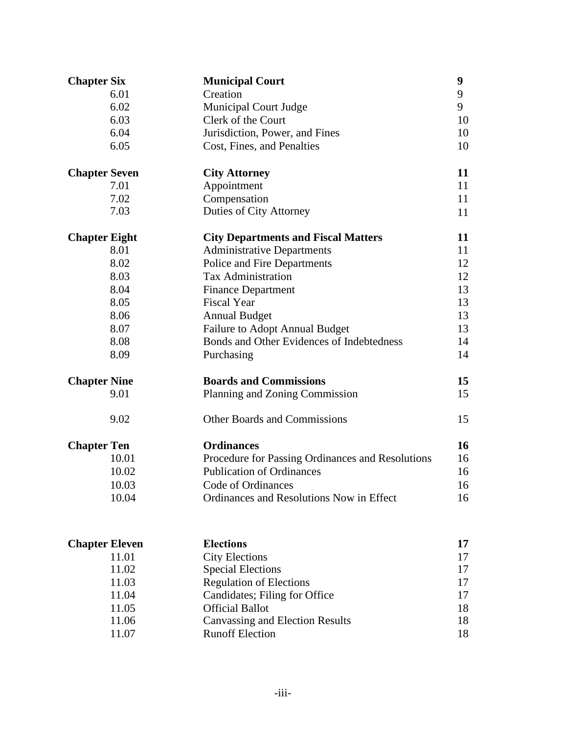| Creation<br>9<br>6.01<br>9<br>6.02<br><b>Municipal Court Judge</b><br>6.03<br>Clerk of the Court<br>10<br>6.04<br>Jurisdiction, Power, and Fines<br>10<br>6.05<br>Cost, Fines, and Penalties<br>10<br>11<br><b>Chapter Seven</b><br><b>City Attorney</b><br>7.01<br>Appointment<br>11<br>7.02<br>11<br>Compensation<br>7.03<br>Duties of City Attorney<br>11<br>11<br><b>Chapter Eight</b><br><b>City Departments and Fiscal Matters</b><br>8.01<br><b>Administrative Departments</b><br>11<br>8.02<br>Police and Fire Departments<br>12<br>8.03<br><b>Tax Administration</b><br>12<br>8.04<br><b>Finance Department</b><br>13<br><b>Fiscal Year</b><br>8.05<br>13<br>8.06<br>13<br><b>Annual Budget</b><br>8.07<br><b>Failure to Adopt Annual Budget</b><br>13<br>Bonds and Other Evidences of Indebtedness<br>8.08<br>14<br>8.09<br>14<br>Purchasing<br><b>Boards and Commissions</b><br>15<br><b>Chapter Nine</b><br>9.01<br>Planning and Zoning Commission<br>15<br>9.02<br><b>Other Boards and Commissions</b><br>15<br>16<br><b>Ordinances</b><br><b>Chapter Ten</b><br>10.01<br>Procedure for Passing Ordinances and Resolutions<br>16<br><b>Publication of Ordinances</b><br>10.02<br>16<br>10.03<br>Code of Ordinances<br>16<br>10.04<br>Ordinances and Resolutions Now in Effect<br>16<br><b>Elections</b><br><b>Chapter Eleven</b><br>17<br>11.01<br><b>City Elections</b><br>17<br><b>Special Elections</b><br>11.02<br>17<br><b>Regulation of Elections</b><br>11.03<br>17<br>11.04<br>Candidates; Filing for Office<br>17<br>11.05<br><b>Official Ballot</b><br>18 | <b>Chapter Six</b> | <b>Municipal Court</b>                 | $\boldsymbol{9}$ |
|----------------------------------------------------------------------------------------------------------------------------------------------------------------------------------------------------------------------------------------------------------------------------------------------------------------------------------------------------------------------------------------------------------------------------------------------------------------------------------------------------------------------------------------------------------------------------------------------------------------------------------------------------------------------------------------------------------------------------------------------------------------------------------------------------------------------------------------------------------------------------------------------------------------------------------------------------------------------------------------------------------------------------------------------------------------------------------------------------------------------------------------------------------------------------------------------------------------------------------------------------------------------------------------------------------------------------------------------------------------------------------------------------------------------------------------------------------------------------------------------------------------------------------------------------------------------------------|--------------------|----------------------------------------|------------------|
|                                                                                                                                                                                                                                                                                                                                                                                                                                                                                                                                                                                                                                                                                                                                                                                                                                                                                                                                                                                                                                                                                                                                                                                                                                                                                                                                                                                                                                                                                                                                                                                  |                    |                                        |                  |
|                                                                                                                                                                                                                                                                                                                                                                                                                                                                                                                                                                                                                                                                                                                                                                                                                                                                                                                                                                                                                                                                                                                                                                                                                                                                                                                                                                                                                                                                                                                                                                                  |                    |                                        |                  |
|                                                                                                                                                                                                                                                                                                                                                                                                                                                                                                                                                                                                                                                                                                                                                                                                                                                                                                                                                                                                                                                                                                                                                                                                                                                                                                                                                                                                                                                                                                                                                                                  |                    |                                        |                  |
|                                                                                                                                                                                                                                                                                                                                                                                                                                                                                                                                                                                                                                                                                                                                                                                                                                                                                                                                                                                                                                                                                                                                                                                                                                                                                                                                                                                                                                                                                                                                                                                  |                    |                                        |                  |
|                                                                                                                                                                                                                                                                                                                                                                                                                                                                                                                                                                                                                                                                                                                                                                                                                                                                                                                                                                                                                                                                                                                                                                                                                                                                                                                                                                                                                                                                                                                                                                                  |                    |                                        |                  |
|                                                                                                                                                                                                                                                                                                                                                                                                                                                                                                                                                                                                                                                                                                                                                                                                                                                                                                                                                                                                                                                                                                                                                                                                                                                                                                                                                                                                                                                                                                                                                                                  |                    |                                        |                  |
|                                                                                                                                                                                                                                                                                                                                                                                                                                                                                                                                                                                                                                                                                                                                                                                                                                                                                                                                                                                                                                                                                                                                                                                                                                                                                                                                                                                                                                                                                                                                                                                  |                    |                                        |                  |
|                                                                                                                                                                                                                                                                                                                                                                                                                                                                                                                                                                                                                                                                                                                                                                                                                                                                                                                                                                                                                                                                                                                                                                                                                                                                                                                                                                                                                                                                                                                                                                                  |                    |                                        |                  |
|                                                                                                                                                                                                                                                                                                                                                                                                                                                                                                                                                                                                                                                                                                                                                                                                                                                                                                                                                                                                                                                                                                                                                                                                                                                                                                                                                                                                                                                                                                                                                                                  |                    |                                        |                  |
|                                                                                                                                                                                                                                                                                                                                                                                                                                                                                                                                                                                                                                                                                                                                                                                                                                                                                                                                                                                                                                                                                                                                                                                                                                                                                                                                                                                                                                                                                                                                                                                  |                    |                                        |                  |
|                                                                                                                                                                                                                                                                                                                                                                                                                                                                                                                                                                                                                                                                                                                                                                                                                                                                                                                                                                                                                                                                                                                                                                                                                                                                                                                                                                                                                                                                                                                                                                                  |                    |                                        |                  |
|                                                                                                                                                                                                                                                                                                                                                                                                                                                                                                                                                                                                                                                                                                                                                                                                                                                                                                                                                                                                                                                                                                                                                                                                                                                                                                                                                                                                                                                                                                                                                                                  |                    |                                        |                  |
|                                                                                                                                                                                                                                                                                                                                                                                                                                                                                                                                                                                                                                                                                                                                                                                                                                                                                                                                                                                                                                                                                                                                                                                                                                                                                                                                                                                                                                                                                                                                                                                  |                    |                                        |                  |
|                                                                                                                                                                                                                                                                                                                                                                                                                                                                                                                                                                                                                                                                                                                                                                                                                                                                                                                                                                                                                                                                                                                                                                                                                                                                                                                                                                                                                                                                                                                                                                                  |                    |                                        |                  |
|                                                                                                                                                                                                                                                                                                                                                                                                                                                                                                                                                                                                                                                                                                                                                                                                                                                                                                                                                                                                                                                                                                                                                                                                                                                                                                                                                                                                                                                                                                                                                                                  |                    |                                        |                  |
|                                                                                                                                                                                                                                                                                                                                                                                                                                                                                                                                                                                                                                                                                                                                                                                                                                                                                                                                                                                                                                                                                                                                                                                                                                                                                                                                                                                                                                                                                                                                                                                  |                    |                                        |                  |
|                                                                                                                                                                                                                                                                                                                                                                                                                                                                                                                                                                                                                                                                                                                                                                                                                                                                                                                                                                                                                                                                                                                                                                                                                                                                                                                                                                                                                                                                                                                                                                                  |                    |                                        |                  |
|                                                                                                                                                                                                                                                                                                                                                                                                                                                                                                                                                                                                                                                                                                                                                                                                                                                                                                                                                                                                                                                                                                                                                                                                                                                                                                                                                                                                                                                                                                                                                                                  |                    |                                        |                  |
|                                                                                                                                                                                                                                                                                                                                                                                                                                                                                                                                                                                                                                                                                                                                                                                                                                                                                                                                                                                                                                                                                                                                                                                                                                                                                                                                                                                                                                                                                                                                                                                  |                    |                                        |                  |
|                                                                                                                                                                                                                                                                                                                                                                                                                                                                                                                                                                                                                                                                                                                                                                                                                                                                                                                                                                                                                                                                                                                                                                                                                                                                                                                                                                                                                                                                                                                                                                                  |                    |                                        |                  |
|                                                                                                                                                                                                                                                                                                                                                                                                                                                                                                                                                                                                                                                                                                                                                                                                                                                                                                                                                                                                                                                                                                                                                                                                                                                                                                                                                                                                                                                                                                                                                                                  |                    |                                        |                  |
|                                                                                                                                                                                                                                                                                                                                                                                                                                                                                                                                                                                                                                                                                                                                                                                                                                                                                                                                                                                                                                                                                                                                                                                                                                                                                                                                                                                                                                                                                                                                                                                  |                    |                                        |                  |
|                                                                                                                                                                                                                                                                                                                                                                                                                                                                                                                                                                                                                                                                                                                                                                                                                                                                                                                                                                                                                                                                                                                                                                                                                                                                                                                                                                                                                                                                                                                                                                                  |                    |                                        |                  |
|                                                                                                                                                                                                                                                                                                                                                                                                                                                                                                                                                                                                                                                                                                                                                                                                                                                                                                                                                                                                                                                                                                                                                                                                                                                                                                                                                                                                                                                                                                                                                                                  |                    |                                        |                  |
|                                                                                                                                                                                                                                                                                                                                                                                                                                                                                                                                                                                                                                                                                                                                                                                                                                                                                                                                                                                                                                                                                                                                                                                                                                                                                                                                                                                                                                                                                                                                                                                  |                    |                                        |                  |
|                                                                                                                                                                                                                                                                                                                                                                                                                                                                                                                                                                                                                                                                                                                                                                                                                                                                                                                                                                                                                                                                                                                                                                                                                                                                                                                                                                                                                                                                                                                                                                                  |                    |                                        |                  |
|                                                                                                                                                                                                                                                                                                                                                                                                                                                                                                                                                                                                                                                                                                                                                                                                                                                                                                                                                                                                                                                                                                                                                                                                                                                                                                                                                                                                                                                                                                                                                                                  |                    |                                        |                  |
|                                                                                                                                                                                                                                                                                                                                                                                                                                                                                                                                                                                                                                                                                                                                                                                                                                                                                                                                                                                                                                                                                                                                                                                                                                                                                                                                                                                                                                                                                                                                                                                  |                    |                                        |                  |
|                                                                                                                                                                                                                                                                                                                                                                                                                                                                                                                                                                                                                                                                                                                                                                                                                                                                                                                                                                                                                                                                                                                                                                                                                                                                                                                                                                                                                                                                                                                                                                                  |                    |                                        |                  |
|                                                                                                                                                                                                                                                                                                                                                                                                                                                                                                                                                                                                                                                                                                                                                                                                                                                                                                                                                                                                                                                                                                                                                                                                                                                                                                                                                                                                                                                                                                                                                                                  |                    |                                        |                  |
|                                                                                                                                                                                                                                                                                                                                                                                                                                                                                                                                                                                                                                                                                                                                                                                                                                                                                                                                                                                                                                                                                                                                                                                                                                                                                                                                                                                                                                                                                                                                                                                  |                    |                                        |                  |
|                                                                                                                                                                                                                                                                                                                                                                                                                                                                                                                                                                                                                                                                                                                                                                                                                                                                                                                                                                                                                                                                                                                                                                                                                                                                                                                                                                                                                                                                                                                                                                                  |                    |                                        |                  |
|                                                                                                                                                                                                                                                                                                                                                                                                                                                                                                                                                                                                                                                                                                                                                                                                                                                                                                                                                                                                                                                                                                                                                                                                                                                                                                                                                                                                                                                                                                                                                                                  |                    |                                        |                  |
|                                                                                                                                                                                                                                                                                                                                                                                                                                                                                                                                                                                                                                                                                                                                                                                                                                                                                                                                                                                                                                                                                                                                                                                                                                                                                                                                                                                                                                                                                                                                                                                  | 11.06              | <b>Canvassing and Election Results</b> | 18               |

11.06 Canvassing and Election Results 18 11.07 Runoff Election 18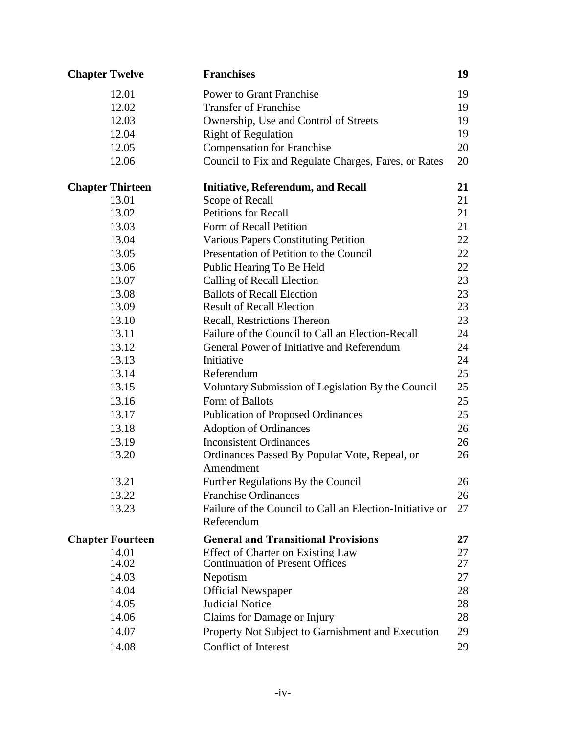| <b>Chapter Twelve</b>   | <b>Franchises</b>                                          | 19 |
|-------------------------|------------------------------------------------------------|----|
| 12.01                   | <b>Power to Grant Franchise</b>                            | 19 |
| 12.02                   | <b>Transfer of Franchise</b>                               | 19 |
| 12.03                   | Ownership, Use and Control of Streets                      | 19 |
| 12.04                   | <b>Right of Regulation</b>                                 | 19 |
| 12.05                   | <b>Compensation for Franchise</b>                          | 20 |
| 12.06                   | Council to Fix and Regulate Charges, Fares, or Rates       | 20 |
| <b>Chapter Thirteen</b> | <b>Initiative, Referendum, and Recall</b>                  | 21 |
| 13.01                   | Scope of Recall                                            | 21 |
| 13.02                   | <b>Petitions for Recall</b>                                | 21 |
| 13.03                   | Form of Recall Petition                                    | 21 |
| 13.04                   | <b>Various Papers Constituting Petition</b>                | 22 |
| 13.05                   | Presentation of Petition to the Council                    | 22 |
| 13.06                   | Public Hearing To Be Held                                  | 22 |
| 13.07                   | Calling of Recall Election                                 | 23 |
| 13.08                   | <b>Ballots of Recall Election</b>                          | 23 |
| 13.09                   | <b>Result of Recall Election</b>                           | 23 |
| 13.10                   | Recall, Restrictions Thereon                               | 23 |
| 13.11                   | Failure of the Council to Call an Election-Recall          | 24 |
| 13.12                   | General Power of Initiative and Referendum                 | 24 |
| 13.13                   | Initiative                                                 | 24 |
| 13.14                   | Referendum                                                 | 25 |
| 13.15                   | Voluntary Submission of Legislation By the Council         | 25 |
| 13.16                   | Form of Ballots                                            | 25 |
| 13.17                   | <b>Publication of Proposed Ordinances</b>                  | 25 |
| 13.18                   | <b>Adoption of Ordinances</b>                              | 26 |
| 13.19                   | <b>Inconsistent Ordinances</b>                             | 26 |
| 13.20                   | Ordinances Passed By Popular Vote, Repeal, or<br>Amendment | 26 |
| 13.21                   | Further Regulations By the Council                         | 26 |
| 13.22                   | <b>Franchise Ordinances</b>                                | 26 |
| 13.23                   | Failure of the Council to Call an Election-Initiative or   | 27 |
|                         | Referendum                                                 |    |
| <b>Chapter Fourteen</b> | <b>General and Transitional Provisions</b>                 | 27 |
| 14.01                   | <b>Effect of Charter on Existing Law</b>                   | 27 |
| 14.02                   | <b>Continuation of Present Offices</b>                     | 27 |
| 14.03                   | Nepotism                                                   | 27 |
| 14.04                   | <b>Official Newspaper</b>                                  | 28 |
| 14.05                   | <b>Judicial Notice</b>                                     | 28 |
| 14.06                   | Claims for Damage or Injury                                | 28 |
| 14.07                   | Property Not Subject to Garnishment and Execution          | 29 |
| 14.08                   | Conflict of Interest                                       | 29 |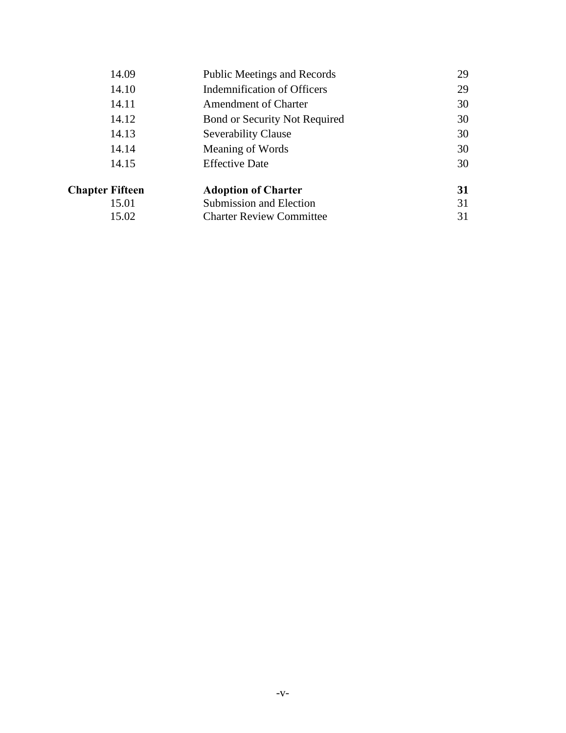| 14.09                  | <b>Public Meetings and Records</b> | 29 |
|------------------------|------------------------------------|----|
| 14.10                  | <b>Indemnification of Officers</b> | 29 |
| 14.11                  | <b>Amendment of Charter</b>        | 30 |
| 14.12                  | Bond or Security Not Required      | 30 |
| 14.13                  | <b>Severability Clause</b>         | 30 |
| 14.14                  | Meaning of Words                   | 30 |
| 14.15                  | <b>Effective Date</b>              | 30 |
| <b>Chapter Fifteen</b> | <b>Adoption of Charter</b>         | 31 |
| 15.01                  | Submission and Election            | 31 |
| 15.02                  | <b>Charter Review Committee</b>    | 31 |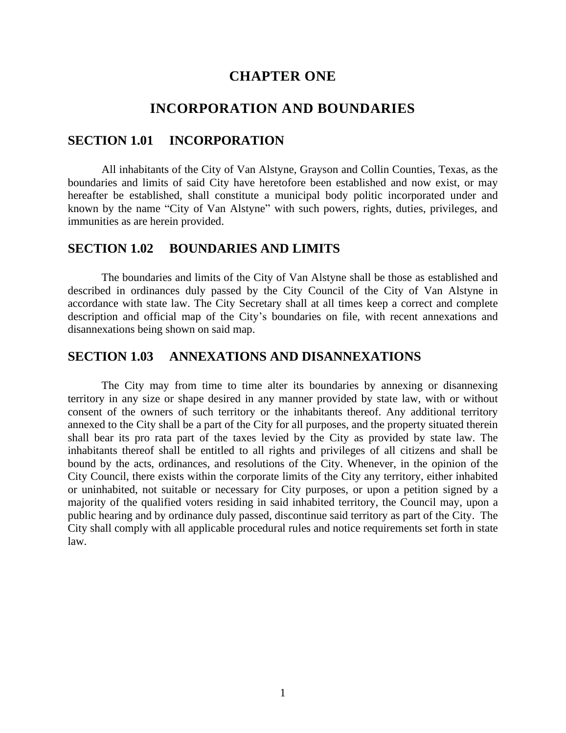#### **CHAPTER ONE**

#### **INCORPORATION AND BOUNDARIES**

#### **SECTION 1.01 INCORPORATION**

All inhabitants of the City of Van Alstyne, Grayson and Collin Counties, Texas, as the boundaries and limits of said City have heretofore been established and now exist, or may hereafter be established, shall constitute a municipal body politic incorporated under and known by the name "City of Van Alstyne" with such powers, rights, duties, privileges, and immunities as are herein provided.

#### **SECTION 1.02 BOUNDARIES AND LIMITS**

The boundaries and limits of the City of Van Alstyne shall be those as established and described in ordinances duly passed by the City Council of the City of Van Alstyne in accordance with state law. The City Secretary shall at all times keep a correct and complete description and official map of the City's boundaries on file, with recent annexations and disannexations being shown on said map.

#### **SECTION 1.03 ANNEXATIONS AND DISANNEXATIONS**

The City may from time to time alter its boundaries by annexing or disannexing territory in any size or shape desired in any manner provided by state law, with or without consent of the owners of such territory or the inhabitants thereof. Any additional territory annexed to the City shall be a part of the City for all purposes, and the property situated therein shall bear its pro rata part of the taxes levied by the City as provided by state law. The inhabitants thereof shall be entitled to all rights and privileges of all citizens and shall be bound by the acts, ordinances, and resolutions of the City. Whenever, in the opinion of the City Council, there exists within the corporate limits of the City any territory, either inhabited or uninhabited, not suitable or necessary for City purposes, or upon a petition signed by a majority of the qualified voters residing in said inhabited territory, the Council may, upon a public hearing and by ordinance duly passed, discontinue said territory as part of the City. The City shall comply with all applicable procedural rules and notice requirements set forth in state law.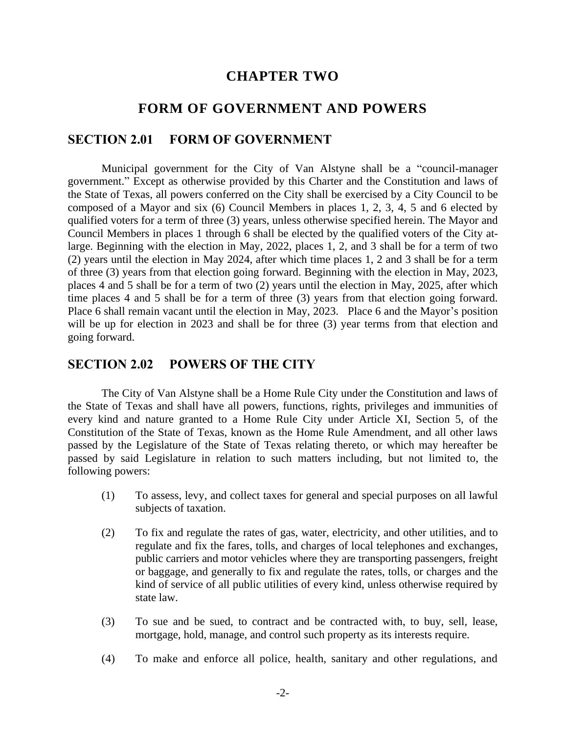#### **CHAPTER TWO**

#### **FORM OF GOVERNMENT AND POWERS**

#### **SECTION 2.01 FORM OF GOVERNMENT**

Municipal government for the City of Van Alstyne shall be a "council-manager government." Except as otherwise provided by this Charter and the Constitution and laws of the State of Texas, all powers conferred on the City shall be exercised by a City Council to be composed of a Mayor and six (6) Council Members in places 1, 2, 3, 4, 5 and 6 elected by qualified voters for a term of three (3) years, unless otherwise specified herein. The Mayor and Council Members in places 1 through 6 shall be elected by the qualified voters of the City atlarge. Beginning with the election in May, 2022, places 1, 2, and 3 shall be for a term of two (2) years until the election in May 2024, after which time places 1, 2 and 3 shall be for a term of three (3) years from that election going forward. Beginning with the election in May, 2023, places 4 and 5 shall be for a term of two (2) years until the election in May, 2025, after which time places 4 and 5 shall be for a term of three (3) years from that election going forward. Place 6 shall remain vacant until the election in May, 2023. Place 6 and the Mayor's position will be up for election in 2023 and shall be for three (3) year terms from that election and going forward.

#### **SECTION 2.02 POWERS OF THE CITY**

The City of Van Alstyne shall be a Home Rule City under the Constitution and laws of the State of Texas and shall have all powers, functions, rights, privileges and immunities of every kind and nature granted to a Home Rule City under Article XI, Section 5, of the Constitution of the State of Texas, known as the Home Rule Amendment, and all other laws passed by the Legislature of the State of Texas relating thereto, or which may hereafter be passed by said Legislature in relation to such matters including, but not limited to, the following powers:

- (1) To assess, levy, and collect taxes for general and special purposes on all lawful subjects of taxation.
- (2) To fix and regulate the rates of gas, water, electricity, and other utilities, and to regulate and fix the fares, tolls, and charges of local telephones and exchanges, public carriers and motor vehicles where they are transporting passengers, freight or baggage, and generally to fix and regulate the rates, tolls, or charges and the kind of service of all public utilities of every kind, unless otherwise required by state law.
- (3) To sue and be sued, to contract and be contracted with, to buy, sell, lease, mortgage, hold, manage, and control such property as its interests require.
- (4) To make and enforce all police, health, sanitary and other regulations, and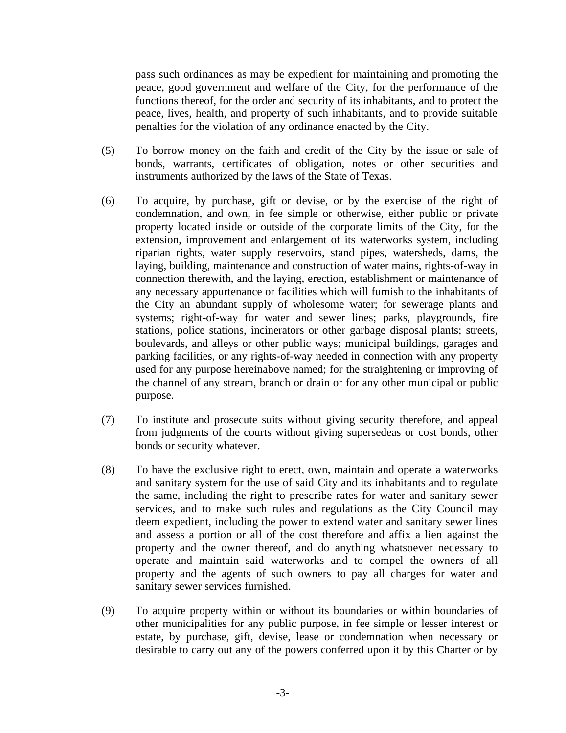pass such ordinances as may be expedient for maintaining and promoting the peace, good government and welfare of the City, for the performance of the functions thereof, for the order and security of its inhabitants, and to protect the peace, lives, health, and property of such inhabitants, and to provide suitable penalties for the violation of any ordinance enacted by the City.

- (5) To borrow money on the faith and credit of the City by the issue or sale of bonds, warrants, certificates of obligation, notes or other securities and instruments authorized by the laws of the State of Texas.
- (6) To acquire, by purchase, gift or devise, or by the exercise of the right of condemnation, and own, in fee simple or otherwise, either public or private property located inside or outside of the corporate limits of the City, for the extension, improvement and enlargement of its waterworks system, including riparian rights, water supply reservoirs, stand pipes, watersheds, dams, the laying, building, maintenance and construction of water mains, rights-of-way in connection therewith, and the laying, erection, establishment or maintenance of any necessary appurtenance or facilities which will furnish to the inhabitants of the City an abundant supply of wholesome water; for sewerage plants and systems; right-of-way for water and sewer lines; parks, playgrounds, fire stations, police stations, incinerators or other garbage disposal plants; streets, boulevards, and alleys or other public ways; municipal buildings, garages and parking facilities, or any rights-of-way needed in connection with any property used for any purpose hereinabove named; for the straightening or improving of the channel of any stream, branch or drain or for any other municipal or public purpose.
- (7) To institute and prosecute suits without giving security therefore, and appeal from judgments of the courts without giving supersedeas or cost bonds, other bonds or security whatever.
- (8) To have the exclusive right to erect, own, maintain and operate a waterworks and sanitary system for the use of said City and its inhabitants and to regulate the same, including the right to prescribe rates for water and sanitary sewer services, and to make such rules and regulations as the City Council may deem expedient, including the power to extend water and sanitary sewer lines and assess a portion or all of the cost therefore and affix a lien against the property and the owner thereof, and do anything whatsoever necessary to operate and maintain said waterworks and to compel the owners of all property and the agents of such owners to pay all charges for water and sanitary sewer services furnished.
- (9) To acquire property within or without its boundaries or within boundaries of other municipalities for any public purpose, in fee simple or lesser interest or estate, by purchase, gift, devise, lease or condemnation when necessary or desirable to carry out any of the powers conferred upon it by this Charter or by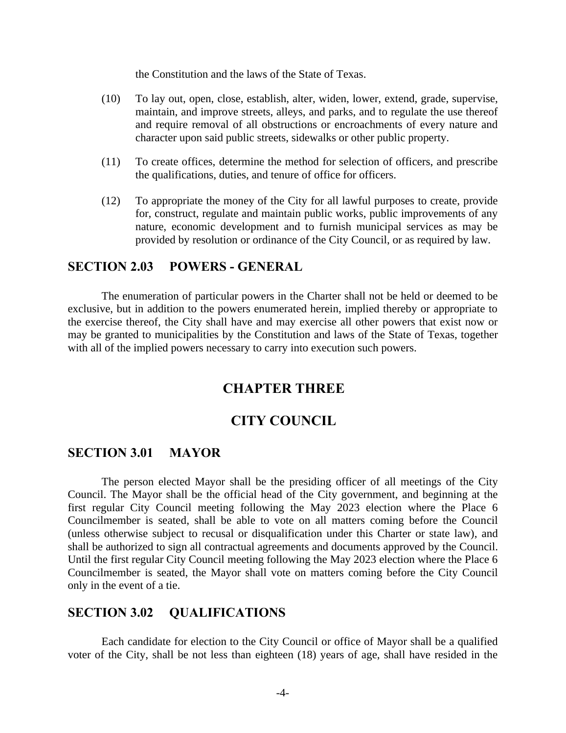the Constitution and the laws of the State of Texas.

- (10) To lay out, open, close, establish, alter, widen, lower, extend, grade, supervise, maintain, and improve streets, alleys, and parks, and to regulate the use thereof and require removal of all obstructions or encroachments of every nature and character upon said public streets, sidewalks or other public property.
- (11) To create offices, determine the method for selection of officers, and prescribe the qualifications, duties, and tenure of office for officers.
- (12) To appropriate the money of the City for all lawful purposes to create, provide for, construct, regulate and maintain public works, public improvements of any nature, economic development and to furnish municipal services as may be provided by resolution or ordinance of the City Council, or as required by law.

#### **SECTION 2.03 POWERS - GENERAL**

The enumeration of particular powers in the Charter shall not be held or deemed to be exclusive, but in addition to the powers enumerated herein, implied thereby or appropriate to the exercise thereof, the City shall have and may exercise all other powers that exist now or may be granted to municipalities by the Constitution and laws of the State of Texas, together with all of the implied powers necessary to carry into execution such powers.

#### **CHAPTER THREE**

#### **CITY COUNCIL**

#### **SECTION 3.01 MAYOR**

The person elected Mayor shall be the presiding officer of all meetings of the City Council. The Mayor shall be the official head of the City government, and beginning at the first regular City Council meeting following the May 2023 election where the Place 6 Councilmember is seated, shall be able to vote on all matters coming before the Council (unless otherwise subject to recusal or disqualification under this Charter or state law), and shall be authorized to sign all contractual agreements and documents approved by the Council. Until the first regular City Council meeting following the May 2023 election where the Place 6 Councilmember is seated, the Mayor shall vote on matters coming before the City Council only in the event of a tie.

#### **SECTION 3.02 QUALIFICATIONS**

Each candidate for election to the City Council or office of Mayor shall be a qualified voter of the City, shall be not less than eighteen (18) years of age, shall have resided in the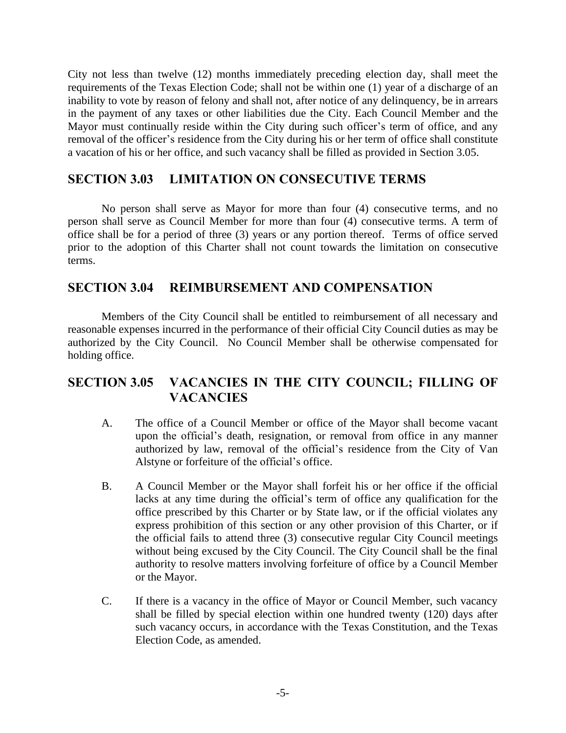City not less than twelve (12) months immediately preceding election day, shall meet the requirements of the Texas Election Code; shall not be within one (1) year of a discharge of an inability to vote by reason of felony and shall not, after notice of any delinquency, be in arrears in the payment of any taxes or other liabilities due the City. Each Council Member and the Mayor must continually reside within the City during such officer's term of office, and any removal of the officer's residence from the City during his or her term of office shall constitute a vacation of his or her office, and such vacancy shall be filled as provided in Section 3.05.

#### **SECTION 3.03 LIMITATION ON CONSECUTIVE TERMS**

No person shall serve as Mayor for more than four (4) consecutive terms, and no person shall serve as Council Member for more than four (4) consecutive terms. A term of office shall be for a period of three (3) years or any portion thereof. Terms of office served prior to the adoption of this Charter shall not count towards the limitation on consecutive terms.

#### **SECTION 3.04 REIMBURSEMENT AND COMPENSATION**

Members of the City Council shall be entitled to reimbursement of all necessary and reasonable expenses incurred in the performance of their official City Council duties as may be authorized by the City Council. No Council Member shall be otherwise compensated for holding office.

#### **SECTION 3.05 VACANCIES IN THE CITY COUNCIL; FILLING OF VACANCIES**

- A. The office of a Council Member or office of the Mayor shall become vacant upon the official's death, resignation, or removal from office in any manner authorized by law, removal of the official's residence from the City of Van Alstyne or forfeiture of the official's office.
- B. A Council Member or the Mayor shall forfeit his or her office if the official lacks at any time during the official's term of office any qualification for the office prescribed by this Charter or by State law, or if the official violates any express prohibition of this section or any other provision of this Charter, or if the official fails to attend three (3) consecutive regular City Council meetings without being excused by the City Council. The City Council shall be the final authority to resolve matters involving forfeiture of office by a Council Member or the Mayor.
- C. If there is a vacancy in the office of Mayor or Council Member, such vacancy shall be filled by special election within one hundred twenty (120) days after such vacancy occurs, in accordance with the Texas Constitution, and the Texas Election Code, as amended.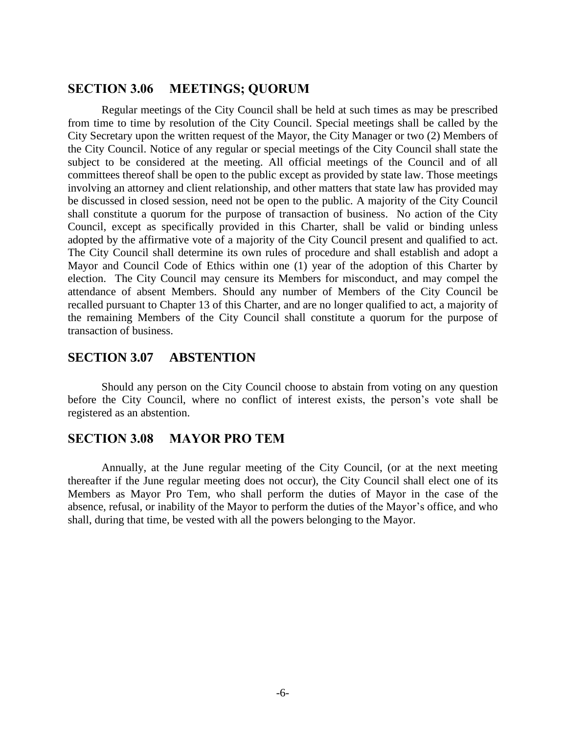#### **SECTION 3.06 MEETINGS; QUORUM**

Regular meetings of the City Council shall be held at such times as may be prescribed from time to time by resolution of the City Council. Special meetings shall be called by the City Secretary upon the written request of the Mayor, the City Manager or two (2) Members of the City Council. Notice of any regular or special meetings of the City Council shall state the subject to be considered at the meeting. All official meetings of the Council and of all committees thereof shall be open to the public except as provided by state law. Those meetings involving an attorney and client relationship, and other matters that state law has provided may be discussed in closed session, need not be open to the public. A majority of the City Council shall constitute a quorum for the purpose of transaction of business. No action of the City Council, except as specifically provided in this Charter, shall be valid or binding unless adopted by the affirmative vote of a majority of the City Council present and qualified to act. The City Council shall determine its own rules of procedure and shall establish and adopt a Mayor and Council Code of Ethics within one (1) year of the adoption of this Charter by election. The City Council may censure its Members for misconduct, and may compel the attendance of absent Members. Should any number of Members of the City Council be recalled pursuant to Chapter 13 of this Charter, and are no longer qualified to act, a majority of the remaining Members of the City Council shall constitute a quorum for the purpose of transaction of business.

#### **SECTION 3.07 ABSTENTION**

Should any person on the City Council choose to abstain from voting on any question before the City Council, where no conflict of interest exists, the person's vote shall be registered as an abstention.

#### **SECTION 3.08 MAYOR PRO TEM**

Annually, at the June regular meeting of the City Council, (or at the next meeting thereafter if the June regular meeting does not occur), the City Council shall elect one of its Members as Mayor Pro Tem, who shall perform the duties of Mayor in the case of the absence, refusal, or inability of the Mayor to perform the duties of the Mayor's office, and who shall, during that time, be vested with all the powers belonging to the Mayor.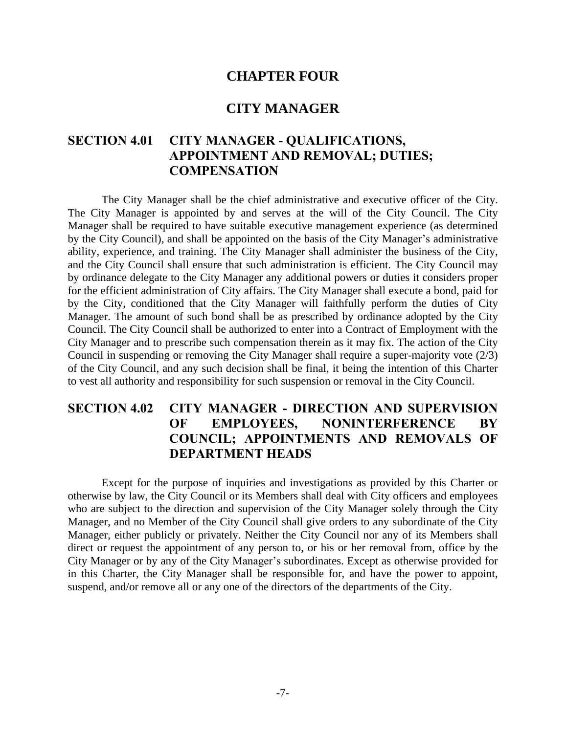#### **CHAPTER FOUR**

#### **CITY MANAGER**

#### **SECTION 4.01 CITY MANAGER - QUALIFICATIONS, APPOINTMENT AND REMOVAL; DUTIES; COMPENSATION**

The City Manager shall be the chief administrative and executive officer of the City. The City Manager is appointed by and serves at the will of the City Council. The City Manager shall be required to have suitable executive management experience (as determined by the City Council), and shall be appointed on the basis of the City Manager's administrative ability, experience, and training. The City Manager shall administer the business of the City, and the City Council shall ensure that such administration is efficient. The City Council may by ordinance delegate to the City Manager any additional powers or duties it considers proper for the efficient administration of City affairs. The City Manager shall execute a bond, paid for by the City, conditioned that the City Manager will faithfully perform the duties of City Manager. The amount of such bond shall be as prescribed by ordinance adopted by the City Council. The City Council shall be authorized to enter into a Contract of Employment with the City Manager and to prescribe such compensation therein as it may fix. The action of the City Council in suspending or removing the City Manager shall require a super-majority vote (2/3) of the City Council, and any such decision shall be final, it being the intention of this Charter to vest all authority and responsibility for such suspension or removal in the City Council.

#### **SECTION 4.02 CITY MANAGER - DIRECTION AND SUPERVISION OF EMPLOYEES, NONINTERFERENCE BY COUNCIL; APPOINTMENTS AND REMOVALS OF DEPARTMENT HEADS**

Except for the purpose of inquiries and investigations as provided by this Charter or otherwise by law, the City Council or its Members shall deal with City officers and employees who are subject to the direction and supervision of the City Manager solely through the City Manager, and no Member of the City Council shall give orders to any subordinate of the City Manager, either publicly or privately. Neither the City Council nor any of its Members shall direct or request the appointment of any person to, or his or her removal from, office by the City Manager or by any of the City Manager's subordinates. Except as otherwise provided for in this Charter, the City Manager shall be responsible for, and have the power to appoint, suspend, and/or remove all or any one of the directors of the departments of the City.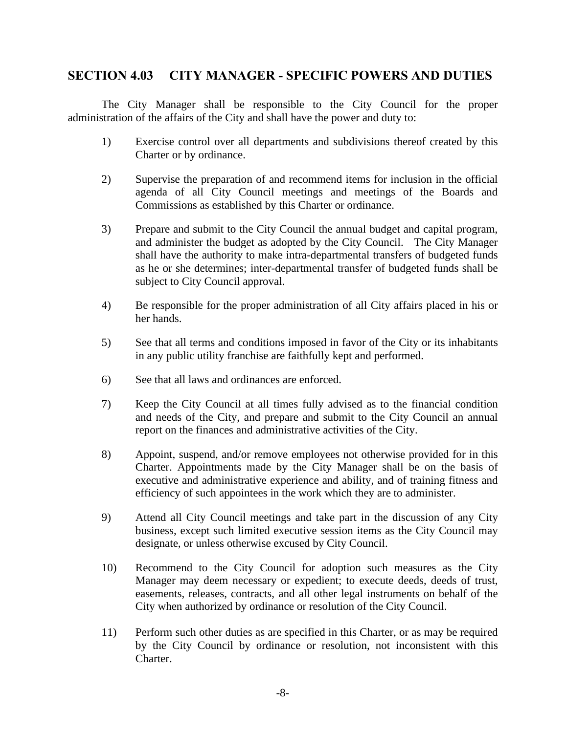#### **SECTION 4.03 CITY MANAGER - SPECIFIC POWERS AND DUTIES**

The City Manager shall be responsible to the City Council for the proper administration of the affairs of the City and shall have the power and duty to:

- 1) Exercise control over all departments and subdivisions thereof created by this Charter or by ordinance.
- 2) Supervise the preparation of and recommend items for inclusion in the official agenda of all City Council meetings and meetings of the Boards and Commissions as established by this Charter or ordinance.
- 3) Prepare and submit to the City Council the annual budget and capital program, and administer the budget as adopted by the City Council. The City Manager shall have the authority to make intra-departmental transfers of budgeted funds as he or she determines; inter-departmental transfer of budgeted funds shall be subject to City Council approval.
- 4) Be responsible for the proper administration of all City affairs placed in his or her hands.
- 5) See that all terms and conditions imposed in favor of the City or its inhabitants in any public utility franchise are faithfully kept and performed.
- 6) See that all laws and ordinances are enforced.
- 7) Keep the City Council at all times fully advised as to the financial condition and needs of the City, and prepare and submit to the City Council an annual report on the finances and administrative activities of the City.
- 8) Appoint, suspend, and/or remove employees not otherwise provided for in this Charter. Appointments made by the City Manager shall be on the basis of executive and administrative experience and ability, and of training fitness and efficiency of such appointees in the work which they are to administer.
- 9) Attend all City Council meetings and take part in the discussion of any City business, except such limited executive session items as the City Council may designate, or unless otherwise excused by City Council.
- 10) Recommend to the City Council for adoption such measures as the City Manager may deem necessary or expedient; to execute deeds, deeds of trust, easements, releases, contracts, and all other legal instruments on behalf of the City when authorized by ordinance or resolution of the City Council.
- 11) Perform such other duties as are specified in this Charter, or as may be required by the City Council by ordinance or resolution, not inconsistent with this Charter.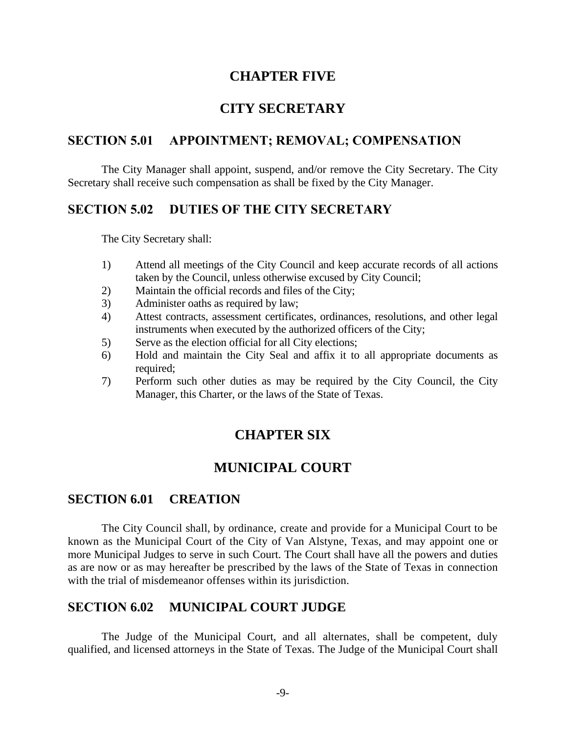#### **CHAPTER FIVE**

#### **CITY SECRETARY**

#### **SECTION 5.01 APPOINTMENT; REMOVAL; COMPENSATION**

The City Manager shall appoint, suspend, and/or remove the City Secretary. The City Secretary shall receive such compensation as shall be fixed by the City Manager.

#### **SECTION 5.02 DUTIES OF THE CITY SECRETARY**

The City Secretary shall:

- 1) Attend all meetings of the City Council and keep accurate records of all actions taken by the Council, unless otherwise excused by City Council;
- 2) Maintain the official records and files of the City;
- 3) Administer oaths as required by law;
- 4) Attest contracts, assessment certificates, ordinances, resolutions, and other legal instruments when executed by the authorized officers of the City;
- 5) Serve as the election official for all City elections;
- 6) Hold and maintain the City Seal and affix it to all appropriate documents as required:
- 7) Perform such other duties as may be required by the City Council, the City Manager, this Charter, or the laws of the State of Texas.

#### **CHAPTER SIX**

#### **MUNICIPAL COURT**

#### **SECTION 6.01 CREATION**

The City Council shall, by ordinance, create and provide for a Municipal Court to be known as the Municipal Court of the City of Van Alstyne, Texas, and may appoint one or more Municipal Judges to serve in such Court. The Court shall have all the powers and duties as are now or as may hereafter be prescribed by the laws of the State of Texas in connection with the trial of misdemeanor offenses within its jurisdiction.

#### **SECTION 6.02 MUNICIPAL COURT JUDGE**

The Judge of the Municipal Court, and all alternates, shall be competent, duly qualified, and licensed attorneys in the State of Texas. The Judge of the Municipal Court shall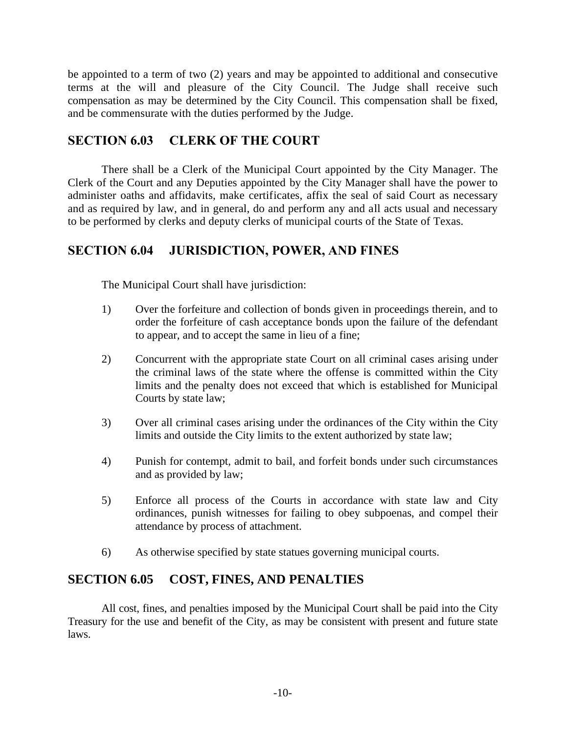be appointed to a term of two (2) years and may be appointed to additional and consecutive terms at the will and pleasure of the City Council. The Judge shall receive such compensation as may be determined by the City Council. This compensation shall be fixed, and be commensurate with the duties performed by the Judge.

#### **SECTION 6.03 CLERK OF THE COURT**

There shall be a Clerk of the Municipal Court appointed by the City Manager. The Clerk of the Court and any Deputies appointed by the City Manager shall have the power to administer oaths and affidavits, make certificates, affix the seal of said Court as necessary and as required by law, and in general, do and perform any and all acts usual and necessary to be performed by clerks and deputy clerks of municipal courts of the State of Texas.

#### **SECTION 6.04 JURISDICTION, POWER, AND FINES**

The Municipal Court shall have jurisdiction:

- 1) Over the forfeiture and collection of bonds given in proceedings therein, and to order the forfeiture of cash acceptance bonds upon the failure of the defendant to appear, and to accept the same in lieu of a fine;
- 2) Concurrent with the appropriate state Court on all criminal cases arising under the criminal laws of the state where the offense is committed within the City limits and the penalty does not exceed that which is established for Municipal Courts by state law;
- 3) Over all criminal cases arising under the ordinances of the City within the City limits and outside the City limits to the extent authorized by state law;
- 4) Punish for contempt, admit to bail, and forfeit bonds under such circumstances and as provided by law;
- 5) Enforce all process of the Courts in accordance with state law and City ordinances, punish witnesses for failing to obey subpoenas, and compel their attendance by process of attachment.
- 6) As otherwise specified by state statues governing municipal courts.

#### **SECTION 6.05 COST, FINES, AND PENALTIES**

All cost, fines, and penalties imposed by the Municipal Court shall be paid into the City Treasury for the use and benefit of the City, as may be consistent with present and future state laws.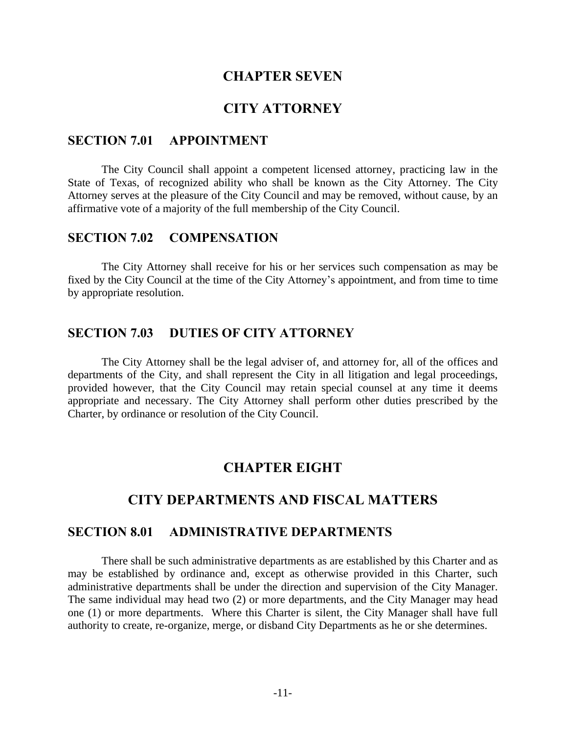#### **CHAPTER SEVEN**

#### **CITY ATTORNEY**

#### **SECTION 7.01 APPOINTMENT**

The City Council shall appoint a competent licensed attorney, practicing law in the State of Texas, of recognized ability who shall be known as the City Attorney. The City Attorney serves at the pleasure of the City Council and may be removed, without cause, by an affirmative vote of a majority of the full membership of the City Council.

#### **SECTION 7.02 COMPENSATION**

The City Attorney shall receive for his or her services such compensation as may be fixed by the City Council at the time of the City Attorney's appointment, and from time to time by appropriate resolution.

#### **SECTION 7.03 DUTIES OF CITY ATTORNEY**

The City Attorney shall be the legal adviser of, and attorney for, all of the offices and departments of the City, and shall represent the City in all litigation and legal proceedings, provided however, that the City Council may retain special counsel at any time it deems appropriate and necessary. The City Attorney shall perform other duties prescribed by the Charter, by ordinance or resolution of the City Council.

#### **CHAPTER EIGHT**

#### **CITY DEPARTMENTS AND FISCAL MATTERS**

#### **SECTION 8.01 ADMINISTRATIVE DEPARTMENTS**

There shall be such administrative departments as are established by this Charter and as may be established by ordinance and, except as otherwise provided in this Charter, such administrative departments shall be under the direction and supervision of the City Manager. The same individual may head two (2) or more departments, and the City Manager may head one (1) or more departments. Where this Charter is silent, the City Manager shall have full authority to create, re-organize, merge, or disband City Departments as he or she determines.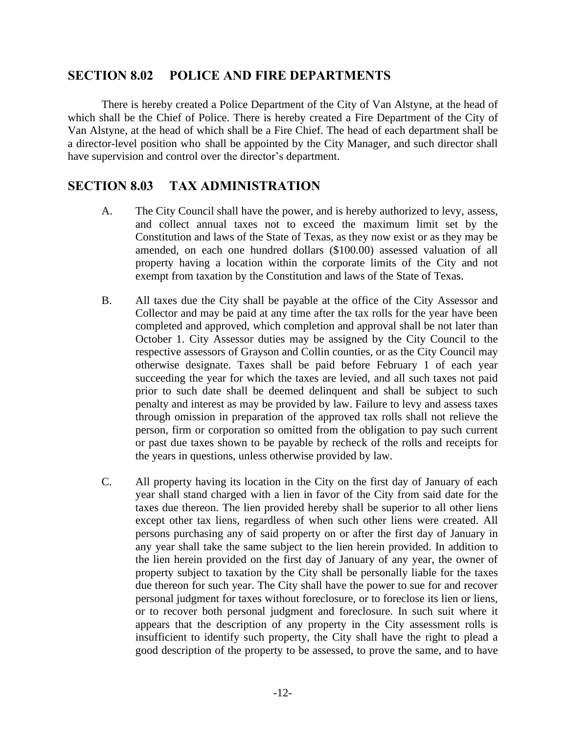#### **SECTION 8.02 POLICE AND FIRE DEPARTMENTS**

There is hereby created a Police Department of the City of Van Alstyne, at the head of which shall be the Chief of Police. There is hereby created a Fire Department of the City of Van Alstyne, at the head of which shall be a Fire Chief. The head of each department shall be a director-level position who shall be appointed by the City Manager, and such director shall have supervision and control over the director's department.

#### **SECTION 8.03 TAX ADMINISTRATION**

- A. The City Council shall have the power, and is hereby authorized to levy, assess, and collect annual taxes not to exceed the maximum limit set by the Constitution and laws of the State of Texas, as they now exist or as they may be amended, on each one hundred dollars (\$100.00) assessed valuation of all property having a location within the corporate limits of the City and not exempt from taxation by the Constitution and laws of the State of Texas.
- B. All taxes due the City shall be payable at the office of the City Assessor and Collector and may be paid at any time after the tax rolls for the year have been completed and approved, which completion and approval shall be not later than October 1. City Assessor duties may be assigned by the City Council to the respective assessors of Grayson and Collin counties, or as the City Council may otherwise designate. Taxes shall be paid before February 1 of each year succeeding the year for which the taxes are levied, and all such taxes not paid prior to such date shall be deemed delinquent and shall be subject to such penalty and interest as may be provided by law. Failure to levy and assess taxes through omission in preparation of the approved tax rolls shall not relieve the person, firm or corporation so omitted from the obligation to pay such current or past due taxes shown to be payable by recheck of the rolls and receipts for the years in questions, unless otherwise provided by law.
- C. All property having its location in the City on the first day of January of each year shall stand charged with a lien in favor of the City from said date for the taxes due thereon. The lien provided hereby shall be superior to all other liens except other tax liens, regardless of when such other liens were created. All persons purchasing any of said property on or after the first day of January in any year shall take the same subject to the lien herein provided. In addition to the lien herein provided on the first day of January of any year, the owner of property subject to taxation by the City shall be personally liable for the taxes due thereon for such year. The City shall have the power to sue for and recover personal judgment for taxes without foreclosure, or to foreclose its lien or liens, or to recover both personal judgment and foreclosure. In such suit where it appears that the description of any property in the City assessment rolls is insufficient to identify such property, the City shall have the right to plead a good description of the property to be assessed, to prove the same, and to have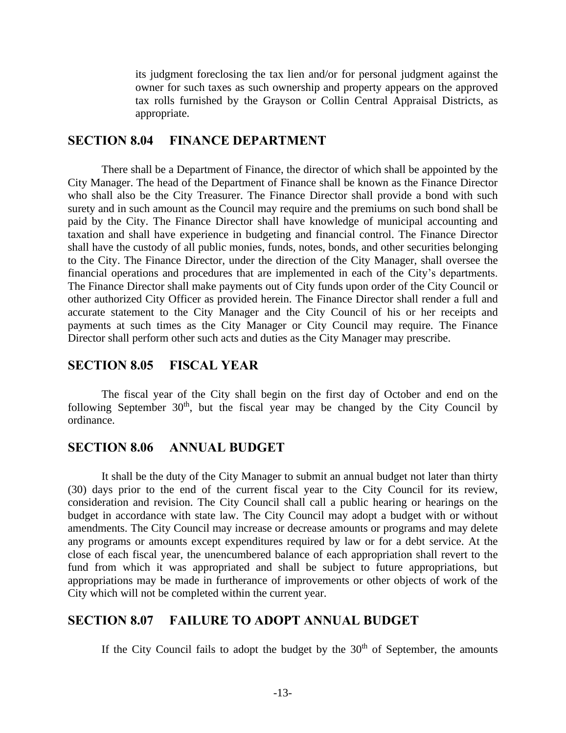its judgment foreclosing the tax lien and/or for personal judgment against the owner for such taxes as such ownership and property appears on the approved tax rolls furnished by the Grayson or Collin Central Appraisal Districts, as appropriate.

#### **SECTION 8.04 FINANCE DEPARTMENT**

There shall be a Department of Finance, the director of which shall be appointed by the City Manager. The head of the Department of Finance shall be known as the Finance Director who shall also be the City Treasurer. The Finance Director shall provide a bond with such surety and in such amount as the Council may require and the premiums on such bond shall be paid by the City. The Finance Director shall have knowledge of municipal accounting and taxation and shall have experience in budgeting and financial control. The Finance Director shall have the custody of all public monies, funds, notes, bonds, and other securities belonging to the City. The Finance Director, under the direction of the City Manager, shall oversee the financial operations and procedures that are implemented in each of the City's departments. The Finance Director shall make payments out of City funds upon order of the City Council or other authorized City Officer as provided herein. The Finance Director shall render a full and accurate statement to the City Manager and the City Council of his or her receipts and payments at such times as the City Manager or City Council may require. The Finance Director shall perform other such acts and duties as the City Manager may prescribe.

#### **SECTION 8.05 FISCAL YEAR**

The fiscal year of the City shall begin on the first day of October and end on the following September  $30<sup>th</sup>$ , but the fiscal year may be changed by the City Council by ordinance.

#### **SECTION 8.06 ANNUAL BUDGET**

It shall be the duty of the City Manager to submit an annual budget not later than thirty (30) days prior to the end of the current fiscal year to the City Council for its review, consideration and revision. The City Council shall call a public hearing or hearings on the budget in accordance with state law. The City Council may adopt a budget with or without amendments. The City Council may increase or decrease amounts or programs and may delete any programs or amounts except expenditures required by law or for a debt service. At the close of each fiscal year, the unencumbered balance of each appropriation shall revert to the fund from which it was appropriated and shall be subject to future appropriations, but appropriations may be made in furtherance of improvements or other objects of work of the City which will not be completed within the current year.

#### **SECTION 8.07 FAILURE TO ADOPT ANNUAL BUDGET**

If the City Council fails to adopt the budget by the  $30<sup>th</sup>$  of September, the amounts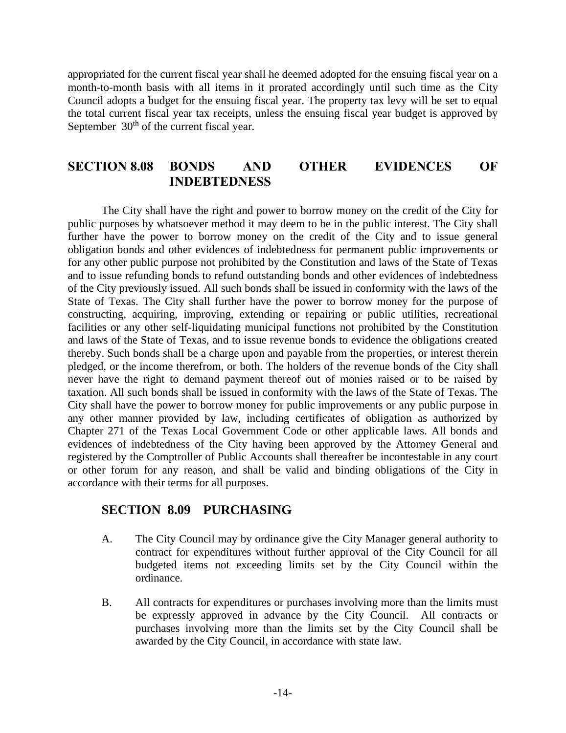appropriated for the current fiscal year shall he deemed adopted for the ensuing fiscal year on a month-to-month basis with all items in it prorated accordingly until such time as the City Council adopts a budget for the ensuing fiscal year. The property tax levy will be set to equal the total current fiscal year tax receipts, unless the ensuing fiscal year budget is approved by September 30<sup>th</sup> of the current fiscal year.

#### **SECTION 8.08 BONDS AND OTHER EVIDENCES OF INDEBTEDNESS**

The City shall have the right and power to borrow money on the credit of the City for public purposes by whatsoever method it may deem to be in the public interest. The City shall further have the power to borrow money on the credit of the City and to issue general obligation bonds and other evidences of indebtedness for permanent public improvements or for any other public purpose not prohibited by the Constitution and laws of the State of Texas and to issue refunding bonds to refund outstanding bonds and other evidences of indebtedness of the City previously issued. All such bonds shall be issued in conformity with the laws of the State of Texas. The City shall further have the power to borrow money for the purpose of constructing, acquiring, improving, extending or repairing or public utilities, recreational facilities or any other self-liquidating municipal functions not prohibited by the Constitution and laws of the State of Texas, and to issue revenue bonds to evidence the obligations created thereby. Such bonds shall be a charge upon and payable from the properties, or interest therein pledged, or the income therefrom, or both. The holders of the revenue bonds of the City shall never have the right to demand payment thereof out of monies raised or to be raised by taxation. All such bonds shall be issued in conformity with the laws of the State of Texas. The City shall have the power to borrow money for public improvements or any public purpose in any other manner provided by law, including certificates of obligation as authorized by Chapter 271 of the Texas Local Government Code or other applicable laws. All bonds and evidences of indebtedness of the City having been approved by the Attorney General and registered by the Comptroller of Public Accounts shall thereafter be incontestable in any court or other forum for any reason, and shall be valid and binding obligations of the City in accordance with their terms for all purposes.

#### **SECTION 8.09 PURCHASING**

- A. The City Council may by ordinance give the City Manager general authority to contract for expenditures without further approval of the City Council for all budgeted items not exceeding limits set by the City Council within the ordinance.
- B. All contracts for expenditures or purchases involving more than the limits must be expressly approved in advance by the City Council. All contracts or purchases involving more than the limits set by the City Council shall be awarded by the City Council, in accordance with state law.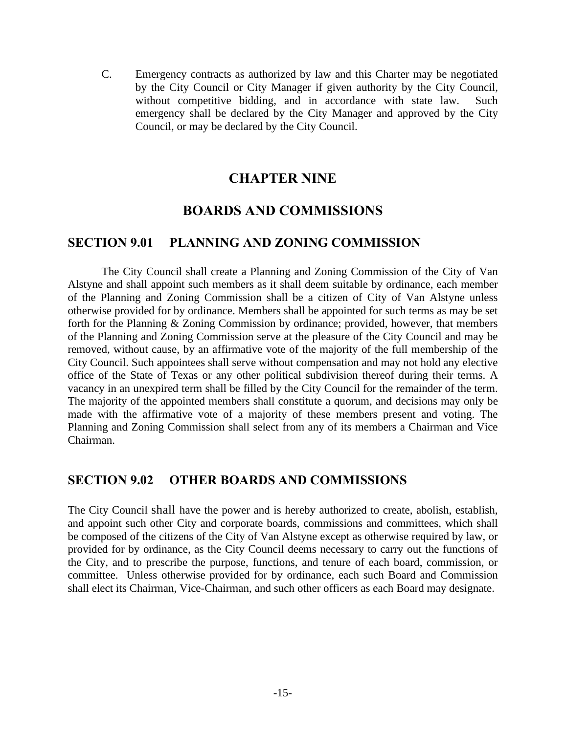C. Emergency contracts as authorized by law and this Charter may be negotiated by the City Council or City Manager if given authority by the City Council, without competitive bidding, and in accordance with state law. Such emergency shall be declared by the City Manager and approved by the City Council, or may be declared by the City Council.

#### **CHAPTER NINE**

#### **BOARDS AND COMMISSIONS**

#### **SECTION 9.01 PLANNING AND ZONING COMMISSION**

The City Council shall create a Planning and Zoning Commission of the City of Van Alstyne and shall appoint such members as it shall deem suitable by ordinance, each member of the Planning and Zoning Commission shall be a citizen of City of Van Alstyne unless otherwise provided for by ordinance. Members shall be appointed for such terms as may be set forth for the Planning & Zoning Commission by ordinance; provided, however, that members of the Planning and Zoning Commission serve at the pleasure of the City Council and may be removed, without cause, by an affirmative vote of the majority of the full membership of the City Council. Such appointees shall serve without compensation and may not hold any elective office of the State of Texas or any other political subdivision thereof during their terms. A vacancy in an unexpired term shall be filled by the City Council for the remainder of the term. The majority of the appointed members shall constitute a quorum, and decisions may only be made with the affirmative vote of a majority of these members present and voting. The Planning and Zoning Commission shall select from any of its members a Chairman and Vice Chairman.

#### **SECTION 9.02 OTHER BOARDS AND COMMISSIONS**

The City Council shall have the power and is hereby authorized to create, abolish, establish, and appoint such other City and corporate boards, commissions and committees, which shall be composed of the citizens of the City of Van Alstyne except as otherwise required by law, or provided for by ordinance, as the City Council deems necessary to carry out the functions of the City, and to prescribe the purpose, functions, and tenure of each board, commission, or committee. Unless otherwise provided for by ordinance, each such Board and Commission shall elect its Chairman, Vice-Chairman, and such other officers as each Board may designate.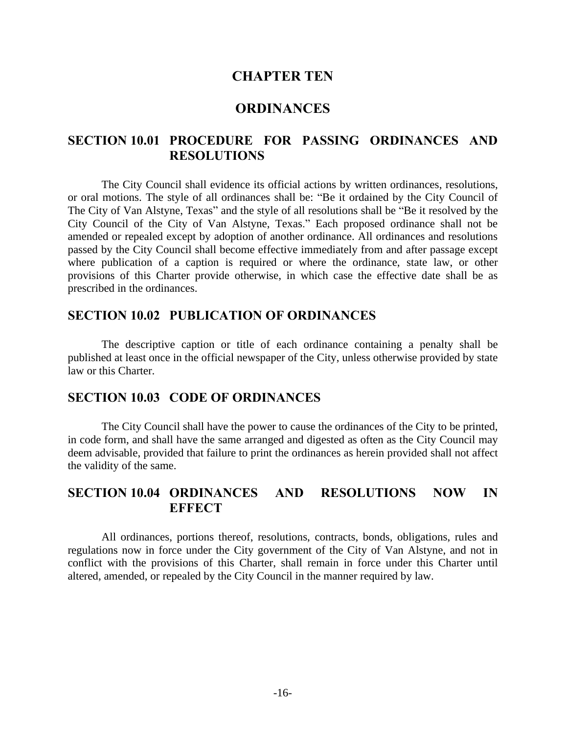#### **CHAPTER TEN**

#### **ORDINANCES**

#### **SECTION 10.01 PROCEDURE FOR PASSING ORDINANCES AND RESOLUTIONS**

The City Council shall evidence its official actions by written ordinances, resolutions, or oral motions. The style of all ordinances shall be: "Be it ordained by the City Council of The City of Van Alstyne, Texas" and the style of all resolutions shall be "Be it resolved by the City Council of the City of Van Alstyne, Texas." Each proposed ordinance shall not be amended or repealed except by adoption of another ordinance. All ordinances and resolutions passed by the City Council shall become effective immediately from and after passage except where publication of a caption is required or where the ordinance, state law, or other provisions of this Charter provide otherwise, in which case the effective date shall be as prescribed in the ordinances.

#### **SECTION 10.02 PUBLICATION OF ORDINANCES**

The descriptive caption or title of each ordinance containing a penalty shall be published at least once in the official newspaper of the City, unless otherwise provided by state law or this Charter.

#### **SECTION 10.03 CODE OF ORDINANCES**

The City Council shall have the power to cause the ordinances of the City to be printed, in code form, and shall have the same arranged and digested as often as the City Council may deem advisable, provided that failure to print the ordinances as herein provided shall not affect the validity of the same.

#### **SECTION 10.04 ORDINANCES AND RESOLUTIONS NOW IN EFFECT**

All ordinances, portions thereof, resolutions, contracts, bonds, obligations, rules and regulations now in force under the City government of the City of Van Alstyne, and not in conflict with the provisions of this Charter, shall remain in force under this Charter until altered, amended, or repealed by the City Council in the manner required by law.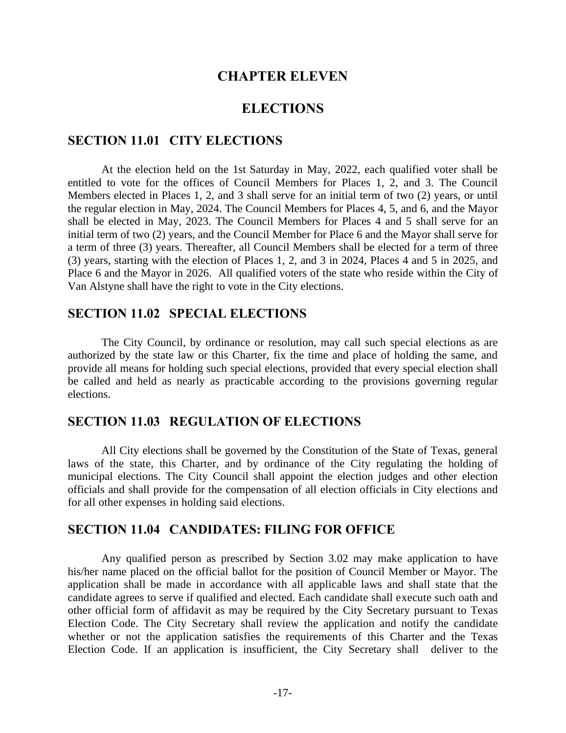#### **CHAPTER ELEVEN**

#### **ELECTIONS**

#### **SECTION 11.01 CITY ELECTIONS**

At the election held on the 1st Saturday in May, 2022, each qualified voter shall be entitled to vote for the offices of Council Members for Places 1, 2, and 3. The Council Members elected in Places 1, 2, and 3 shall serve for an initial term of two (2) years, or until the regular election in May, 2024. The Council Members for Places 4, 5, and 6, and the Mayor shall be elected in May, 2023. The Council Members for Places 4 and 5 shall serve for an initial term of two (2) years, and the Council Member for Place 6 and the Mayor shall serve for a term of three (3) years. Thereafter, all Council Members shall be elected for a term of three (3) years, starting with the election of Places 1, 2, and 3 in 2024, Places 4 and 5 in 2025, and Place 6 and the Mayor in 2026. All qualified voters of the state who reside within the City of Van Alstyne shall have the right to vote in the City elections.

#### **SECTION 11.02 SPECIAL ELECTIONS**

The City Council, by ordinance or resolution, may call such special elections as are authorized by the state law or this Charter, fix the time and place of holding the same, and provide all means for holding such special elections, provided that every special election shall be called and held as nearly as practicable according to the provisions governing regular elections.

#### **SECTION 11.03 REGULATION OF ELECTIONS**

All City elections shall be governed by the Constitution of the State of Texas, general laws of the state, this Charter, and by ordinance of the City regulating the holding of municipal elections. The City Council shall appoint the election judges and other election officials and shall provide for the compensation of all election officials in City elections and for all other expenses in holding said elections.

#### **SECTION 11.04 CANDIDATES: FILING FOR OFFICE**

Any qualified person as prescribed by Section 3.02 may make application to have his/her name placed on the official ballot for the position of Council Member or Mayor. The application shall be made in accordance with all applicable laws and shall state that the candidate agrees to serve if qualified and elected. Each candidate shall execute such oath and other official form of affidavit as may be required by the City Secretary pursuant to Texas Election Code. The City Secretary shall review the application and notify the candidate whether or not the application satisfies the requirements of this Charter and the Texas Election Code. If an application is insufficient, the City Secretary shall deliver to the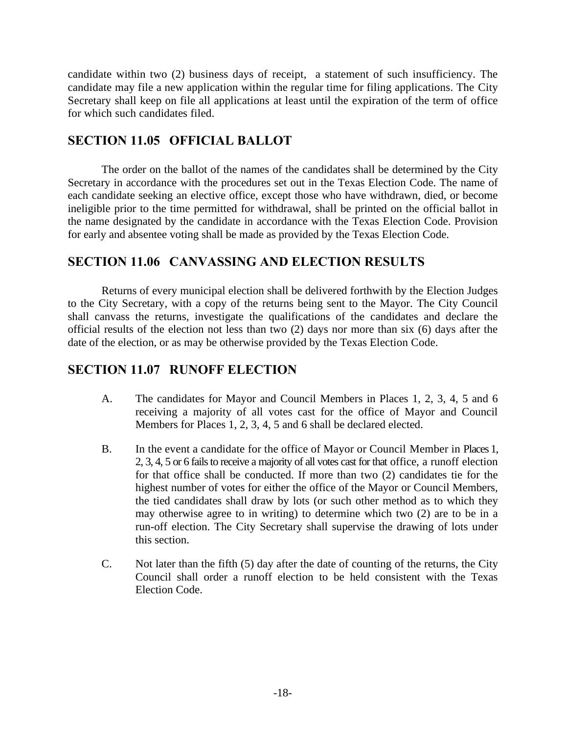candidate within two (2) business days of receipt, a statement of such insufficiency. The candidate may file a new application within the regular time for filing applications. The City Secretary shall keep on file all applications at least until the expiration of the term of office for which such candidates filed.

#### **SECTION 11.05 OFFICIAL BALLOT**

The order on the ballot of the names of the candidates shall be determined by the City Secretary in accordance with the procedures set out in the Texas Election Code. The name of each candidate seeking an elective office, except those who have withdrawn, died, or become ineligible prior to the time permitted for withdrawal, shall be printed on the official ballot in the name designated by the candidate in accordance with the Texas Election Code. Provision for early and absentee voting shall be made as provided by the Texas Election Code.

#### **SECTION 11.06 CANVASSING AND ELECTION RESULTS**

Returns of every municipal election shall be delivered forthwith by the Election Judges to the City Secretary, with a copy of the returns being sent to the Mayor. The City Council shall canvass the returns, investigate the qualifications of the candidates and declare the official results of the election not less than two (2) days nor more than six (6) days after the date of the election, or as may be otherwise provided by the Texas Election Code.

#### **SECTION 11.07 RUNOFF ELECTION**

- A. The candidates for Mayor and Council Members in Places 1, 2, 3, 4, 5 and 6 receiving a majority of all votes cast for the office of Mayor and Council Members for Places 1, 2, 3, 4, 5 and 6 shall be declared elected.
- B. In the event a candidate for the office of Mayor or Council Member in Places 1, 2, 3, 4, 5 or 6 fails to receive a majority of all votes cast for that office, a runoff election for that office shall be conducted. If more than two (2) candidates tie for the highest number of votes for either the office of the Mayor or Council Members, the tied candidates shall draw by lots (or such other method as to which they may otherwise agree to in writing) to determine which two (2) are to be in a run-off election. The City Secretary shall supervise the drawing of lots under this section.
- C. Not later than the fifth (5) day after the date of counting of the returns, the City Council shall order a runoff election to be held consistent with the Texas Election Code.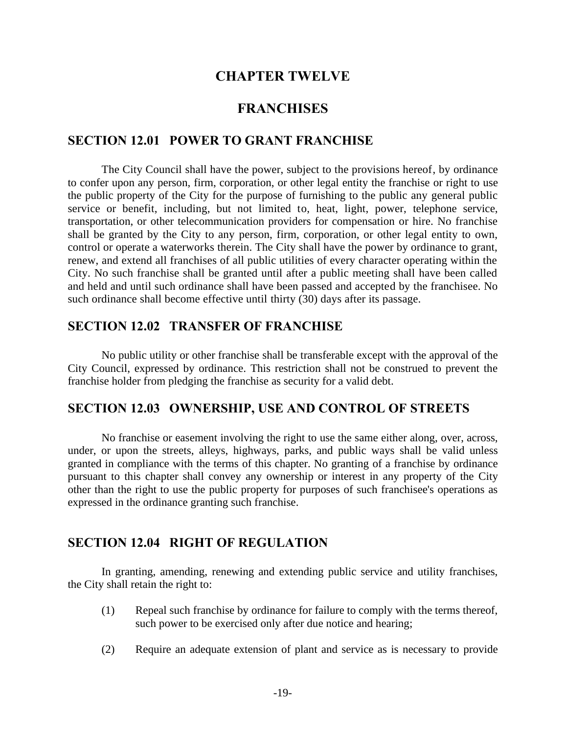#### **CHAPTER TWELVE**

#### **FRANCHISES**

#### **SECTION 12.01 POWER TO GRANT FRANCHISE**

The City Council shall have the power, subject to the provisions hereof, by ordinance to confer upon any person, firm, corporation, or other legal entity the franchise or right to use the public property of the City for the purpose of furnishing to the public any general public service or benefit, including, but not limited to, heat, light, power, telephone service, transportation, or other telecommunication providers for compensation or hire. No franchise shall be granted by the City to any person, firm, corporation, or other legal entity to own, control or operate a waterworks therein. The City shall have the power by ordinance to grant, renew, and extend all franchises of all public utilities of every character operating within the City. No such franchise shall be granted until after a public meeting shall have been called and held and until such ordinance shall have been passed and accepted by the franchisee. No such ordinance shall become effective until thirty (30) days after its passage.

#### **SECTION 12.02 TRANSFER OF FRANCHISE**

No public utility or other franchise shall be transferable except with the approval of the City Council, expressed by ordinance. This restriction shall not be construed to prevent the franchise holder from pledging the franchise as security for a valid debt.

#### **SECTION 12.03 OWNERSHIP, USE AND CONTROL OF STREETS**

No franchise or easement involving the right to use the same either along, over, across, under, or upon the streets, alleys, highways, parks, and public ways shall be valid unless granted in compliance with the terms of this chapter. No granting of a franchise by ordinance pursuant to this chapter shall convey any ownership or interest in any property of the City other than the right to use the public property for purposes of such franchisee's operations as expressed in the ordinance granting such franchise.

#### **SECTION 12.04 RIGHT OF REGULATION**

In granting, amending, renewing and extending public service and utility franchises, the City shall retain the right to:

- (1) Repeal such franchise by ordinance for failure to comply with the terms thereof, such power to be exercised only after due notice and hearing;
- (2) Require an adequate extension of plant and service as is necessary to provide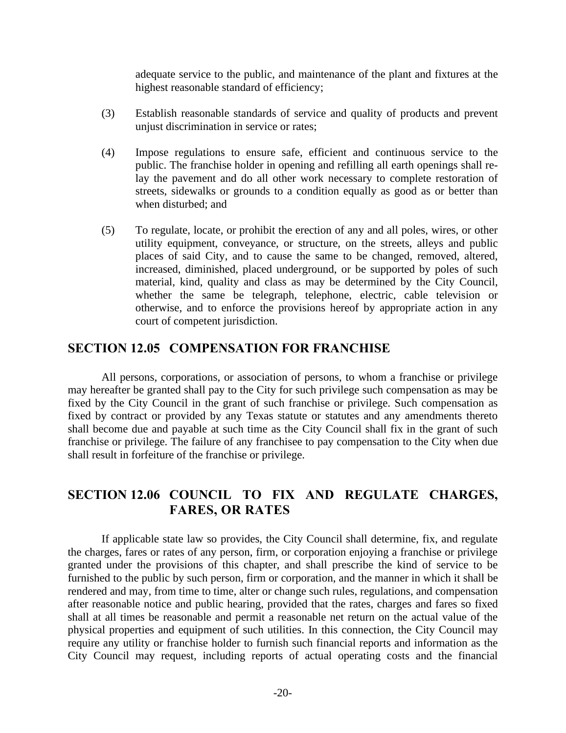adequate service to the public, and maintenance of the plant and fixtures at the highest reasonable standard of efficiency;

- (3) Establish reasonable standards of service and quality of products and prevent unjust discrimination in service or rates;
- (4) Impose regulations to ensure safe, efficient and continuous service to the public. The franchise holder in opening and refilling all earth openings shall relay the pavement and do all other work necessary to complete restoration of streets, sidewalks or grounds to a condition equally as good as or better than when disturbed; and
- (5) To regulate, locate, or prohibit the erection of any and all poles, wires, or other utility equipment, conveyance, or structure, on the streets, alleys and public places of said City, and to cause the same to be changed, removed, altered, increased, diminished, placed underground, or be supported by poles of such material, kind, quality and class as may be determined by the City Council, whether the same be telegraph, telephone, electric, cable television or otherwise, and to enforce the provisions hereof by appropriate action in any court of competent jurisdiction.

#### **SECTION 12.05 COMPENSATION FOR FRANCHISE**

All persons, corporations, or association of persons, to whom a franchise or privilege may hereafter be granted shall pay to the City for such privilege such compensation as may be fixed by the City Council in the grant of such franchise or privilege. Such compensation as fixed by contract or provided by any Texas statute or statutes and any amendments thereto shall become due and payable at such time as the City Council shall fix in the grant of such franchise or privilege. The failure of any franchisee to pay compensation to the City when due shall result in forfeiture of the franchise or privilege.

#### **SECTION 12.06 COUNCIL TO FIX AND REGULATE CHARGES, FARES, OR RATES**

If applicable state law so provides, the City Council shall determine, fix, and regulate the charges, fares or rates of any person, firm, or corporation enjoying a franchise or privilege granted under the provisions of this chapter, and shall prescribe the kind of service to be furnished to the public by such person, firm or corporation, and the manner in which it shall be rendered and may, from time to time, alter or change such rules, regulations, and compensation after reasonable notice and public hearing, provided that the rates, charges and fares so fixed shall at all times be reasonable and permit a reasonable net return on the actual value of the physical properties and equipment of such utilities. In this connection, the City Council may require any utility or franchise holder to furnish such financial reports and information as the City Council may request, including reports of actual operating costs and the financial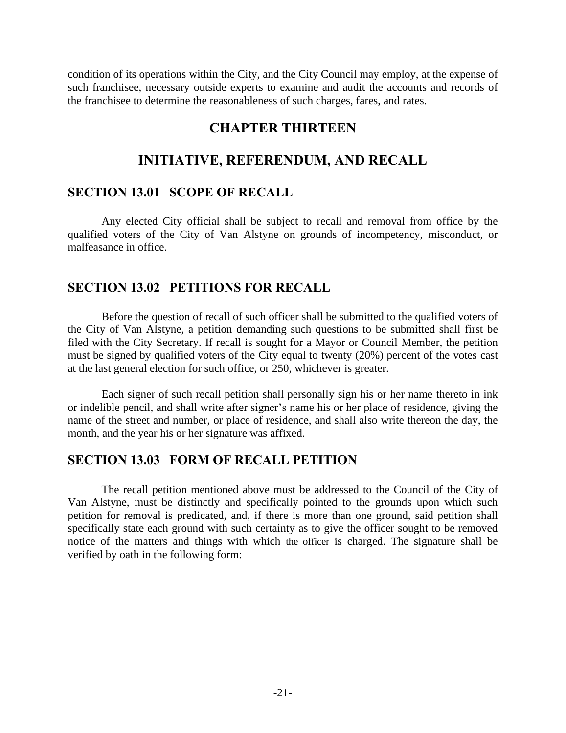condition of its operations within the City, and the City Council may employ, at the expense of such franchisee, necessary outside experts to examine and audit the accounts and records of the franchisee to determine the reasonableness of such charges, fares, and rates.

#### **CHAPTER THIRTEEN**

#### **INITIATIVE, REFERENDUM, AND RECALL**

#### **SECTION 13.01 SCOPE OF RECALL**

Any elected City official shall be subject to recall and removal from office by the qualified voters of the City of Van Alstyne on grounds of incompetency, misconduct, or malfeasance in office.

#### **SECTION 13.02 PETITIONS FOR RECALL**

Before the question of recall of such officer shall be submitted to the qualified voters of the City of Van Alstyne, a petition demanding such questions to be submitted shall first be filed with the City Secretary. If recall is sought for a Mayor or Council Member, the petition must be signed by qualified voters of the City equal to twenty (20%) percent of the votes cast at the last general election for such office, or 250, whichever is greater.

Each signer of such recall petition shall personally sign his or her name thereto in ink or indelible pencil, and shall write after signer's name his or her place of residence, giving the name of the street and number, or place of residence, and shall also write thereon the day, the month, and the year his or her signature was affixed.

#### **SECTION 13.03 FORM OF RECALL PETITION**

The recall petition mentioned above must be addressed to the Council of the City of Van Alstyne, must be distinctly and specifically pointed to the grounds upon which such petition for removal is predicated, and, if there is more than one ground, said petition shall specifically state each ground with such certainty as to give the officer sought to be removed notice of the matters and things with which the officer is charged. The signature shall be verified by oath in the following form: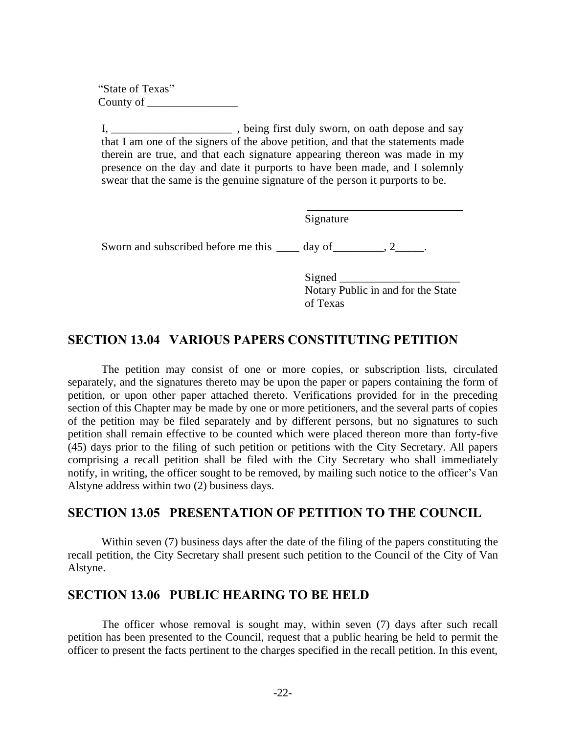"State of Texas" County of \_\_\_\_\_\_\_\_\_\_\_\_\_\_\_\_

I, \_\_\_\_\_\_\_\_\_\_\_\_\_\_\_\_\_\_\_\_\_\_\_\_\_\_\_, being first duly sworn, on oath depose and say that I am one of the signers of the above petition, and that the statements made therein are true, and that each signature appearing thereon was made in my presence on the day and date it purports to have been made, and I solemnly swear that the same is the genuine signature of the person it purports to be.

Signature Sworn and subscribed before me this \_\_\_\_ day of \_\_\_\_\_\_\_, 2\_\_\_\_\_.

> Signed \_\_\_\_\_\_\_\_\_\_\_\_\_\_\_\_\_\_\_\_\_ Notary Public in and for the State of Texas

#### **SECTION 13.04 VARIOUS PAPERS CONSTITUTING PETITION**

The petition may consist of one or more copies, or subscription lists, circulated separately, and the signatures thereto may be upon the paper or papers containing the form of petition, or upon other paper attached thereto. Verifications provided for in the preceding section of this Chapter may be made by one or more petitioners, and the several parts of copies of the petition may be filed separately and by different persons, but no signatures to such petition shall remain effective to be counted which were placed thereon more than forty-five (45) days prior to the filing of such petition or petitions with the City Secretary. All papers comprising a recall petition shall be filed with the City Secretary who shall immediately notify, in writing, the officer sought to be removed, by mailing such notice to the officer's Van Alstyne address within two (2) business days.

#### **SECTION 13.05 PRESENTATION OF PETITION TO THE COUNCIL**

Within seven (7) business days after the date of the filing of the papers constituting the recall petition, the City Secretary shall present such petition to the Council of the City of Van Alstyne.

#### **SECTION 13.06 PUBLIC HEARING TO BE HELD**

The officer whose removal is sought may, within seven (7) days after such recall petition has been presented to the Council, request that a public hearing be held to permit the officer to present the facts pertinent to the charges specified in the recall petition. In this event,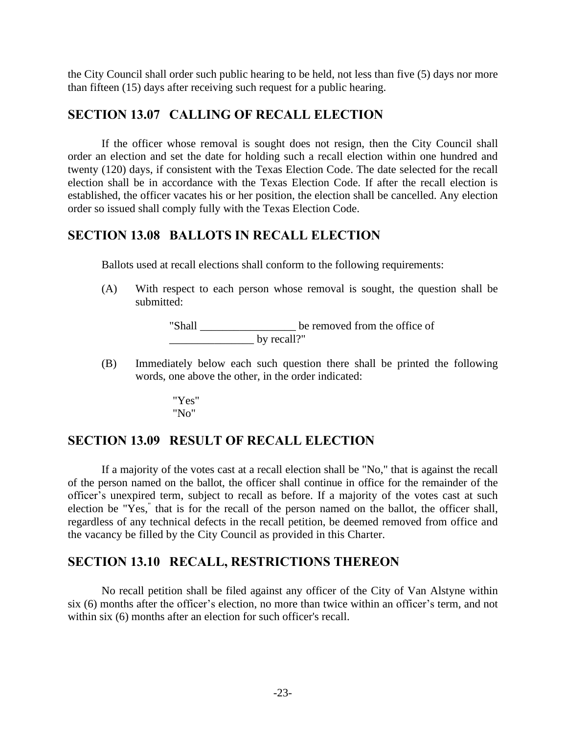the City Council shall order such public hearing to be held, not less than five (5) days nor more than fifteen (15) days after receiving such request for a public hearing.

#### **SECTION 13.07 CALLING OF RECALL ELECTION**

If the officer whose removal is sought does not resign, then the City Council shall order an election and set the date for holding such a recall election within one hundred and twenty (120) days, if consistent with the Texas Election Code. The date selected for the recall election shall be in accordance with the Texas Election Code. If after the recall election is established, the officer vacates his or her position, the election shall be cancelled. Any election order so issued shall comply fully with the Texas Election Code.

#### **SECTION 13.08 BALLOTS IN RECALL ELECTION**

Ballots used at recall elections shall conform to the following requirements:

(A) With respect to each person whose removal is sought, the question shall be submitted:

> "Shall \_\_\_\_\_\_\_\_\_\_\_\_\_\_\_\_\_ be removed from the office of \_\_\_\_\_\_\_\_\_\_\_\_\_\_\_ by recall?"

(B) Immediately below each such question there shall be printed the following words, one above the other, in the order indicated:

> "Yes" "No"

#### **SECTION 13.09 RESULT OF RECALL ELECTION**

If a majority of the votes cast at a recall election shall be "No," that is against the recall of the person named on the ballot, the officer shall continue in office for the remainder of the officer's unexpired term, subject to recall as before. If a majority of the votes cast at such election be "Yes, " that is for the recall of the person named on the ballot, the officer shall, regardless of any technical defects in the recall petition, be deemed removed from office and the vacancy be filled by the City Council as provided in this Charter.

#### **SECTION 13.10 RECALL, RESTRICTIONS THEREON**

No recall petition shall be filed against any officer of the City of Van Alstyne within six (6) months after the officer's election, no more than twice within an officer's term, and not within six (6) months after an election for such officer's recall.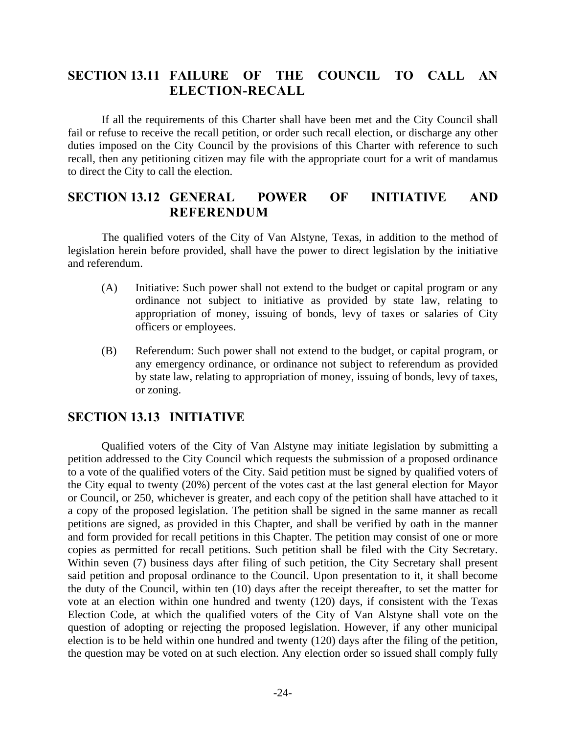#### **SECTION 13.11 FAILURE OF THE COUNCIL TO CALL AN ELECTION-RECALL**

If all the requirements of this Charter shall have been met and the City Council shall fail or refuse to receive the recall petition, or order such recall election, or discharge any other duties imposed on the City Council by the provisions of this Charter with reference to such recall, then any petitioning citizen may file with the appropriate court for a writ of mandamus to direct the City to call the election.

#### **SECTION 13.12 GENERAL POWER OF INITIATIVE AND REFERENDUM**

The qualified voters of the City of Van Alstyne, Texas, in addition to the method of legislation herein before provided, shall have the power to direct legislation by the initiative and referendum.

- (A) Initiative: Such power shall not extend to the budget or capital program or any ordinance not subject to initiative as provided by state law, relating to appropriation of money, issuing of bonds, levy of taxes or salaries of City officers or employees.
- (B) Referendum: Such power shall not extend to the budget, or capital program, or any emergency ordinance, or ordinance not subject to referendum as provided by state law, relating to appropriation of money, issuing of bonds, levy of taxes, or zoning.

#### **SECTION 13.13 INITIATIVE**

Qualified voters of the City of Van Alstyne may initiate legislation by submitting a petition addressed to the City Council which requests the submission of a proposed ordinance to a vote of the qualified voters of the City. Said petition must be signed by qualified voters of the City equal to twenty (20%) percent of the votes cast at the last general election for Mayor or Council, or 250, whichever is greater, and each copy of the petition shall have attached to it a copy of the proposed legislation. The petition shall be signed in the same manner as recall petitions are signed, as provided in this Chapter, and shall be verified by oath in the manner and form provided for recall petitions in this Chapter. The petition may consist of one or more copies as permitted for recall petitions. Such petition shall be filed with the City Secretary. Within seven (7) business days after filing of such petition, the City Secretary shall present said petition and proposal ordinance to the Council. Upon presentation to it, it shall become the duty of the Council, within ten (10) days after the receipt thereafter, to set the matter for vote at an election within one hundred and twenty (120) days, if consistent with the Texas Election Code, at which the qualified voters of the City of Van Alstyne shall vote on the question of adopting or rejecting the proposed legislation. However, if any other municipal election is to be held within one hundred and twenty (120) days after the filing of the petition, the question may be voted on at such election. Any election order so issued shall comply fully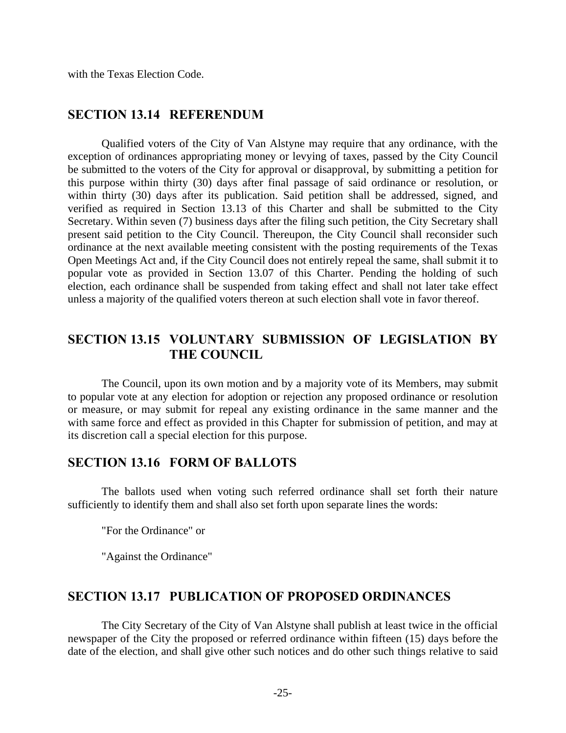with the Texas Election Code.

#### **SECTION 13.14 REFERENDUM**

Qualified voters of the City of Van Alstyne may require that any ordinance, with the exception of ordinances appropriating money or levying of taxes, passed by the City Council be submitted to the voters of the City for approval or disapproval, by submitting a petition for this purpose within thirty (30) days after final passage of said ordinance or resolution, or within thirty (30) days after its publication. Said petition shall be addressed, signed, and verified as required in Section 13.13 of this Charter and shall be submitted to the City Secretary. Within seven (7) business days after the filing such petition, the City Secretary shall present said petition to the City Council. Thereupon, the City Council shall reconsider such ordinance at the next available meeting consistent with the posting requirements of the Texas Open Meetings Act and, if the City Council does not entirely repeal the same, shall submit it to popular vote as provided in Section 13.07 of this Charter. Pending the holding of such election, each ordinance shall be suspended from taking effect and shall not later take effect unless a majority of the qualified voters thereon at such election shall vote in favor thereof.

#### **SECTION 13.15 VOLUNTARY SUBMISSION OF LEGISLATION BY THE COUNCIL**

The Council, upon its own motion and by a majority vote of its Members, may submit to popular vote at any election for adoption or rejection any proposed ordinance or resolution or measure, or may submit for repeal any existing ordinance in the same manner and the with same force and effect as provided in this Chapter for submission of petition, and may at its discretion call a special election for this purpose.

#### **SECTION 13.16 FORM OF BALLOTS**

The ballots used when voting such referred ordinance shall set forth their nature sufficiently to identify them and shall also set forth upon separate lines the words:

"For the Ordinance" or

"Against the Ordinance"

#### **SECTION 13.17 PUBLICATION OF PROPOSED ORDINANCES**

The City Secretary of the City of Van Alstyne shall publish at least twice in the official newspaper of the City the proposed or referred ordinance within fifteen (15) days before the date of the election, and shall give other such notices and do other such things relative to said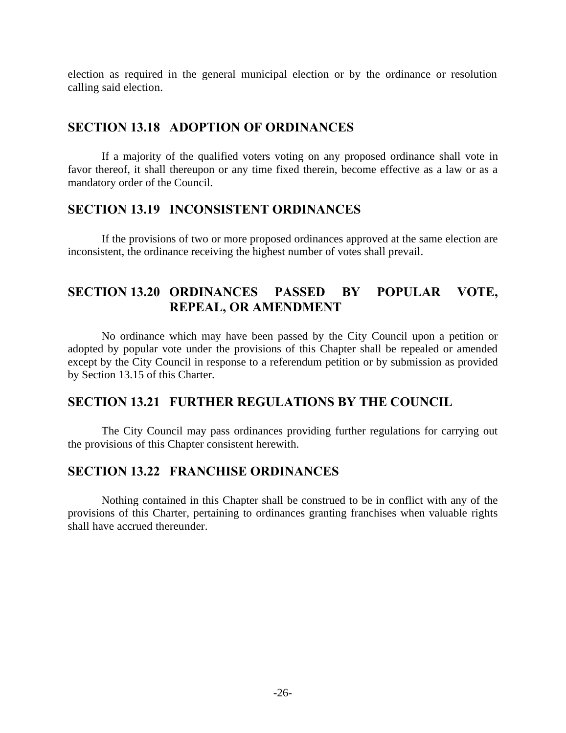election as required in the general municipal election or by the ordinance or resolution calling said election.

#### **SECTION 13.18 ADOPTION OF ORDINANCES**

If a majority of the qualified voters voting on any proposed ordinance shall vote in favor thereof, it shall thereupon or any time fixed therein, become effective as a law or as a mandatory order of the Council.

#### **SECTION 13.19 INCONSISTENT ORDINANCES**

If the provisions of two or more proposed ordinances approved at the same election are inconsistent, the ordinance receiving the highest number of votes shall prevail.

#### **SECTION 13.20 ORDINANCES PASSED BY POPULAR VOTE, REPEAL, OR AMENDMENT**

No ordinance which may have been passed by the City Council upon a petition or adopted by popular vote under the provisions of this Chapter shall be repealed or amended except by the City Council in response to a referendum petition or by submission as provided by Section 13.15 of this Charter.

#### **SECTION 13.21 FURTHER REGULATIONS BY THE COUNCIL**

The City Council may pass ordinances providing further regulations for carrying out the provisions of this Chapter consistent herewith.

#### **SECTION 13.22 FRANCHISE ORDINANCES**

Nothing contained in this Chapter shall be construed to be in conflict with any of the provisions of this Charter, pertaining to ordinances granting franchises when valuable rights shall have accrued thereunder.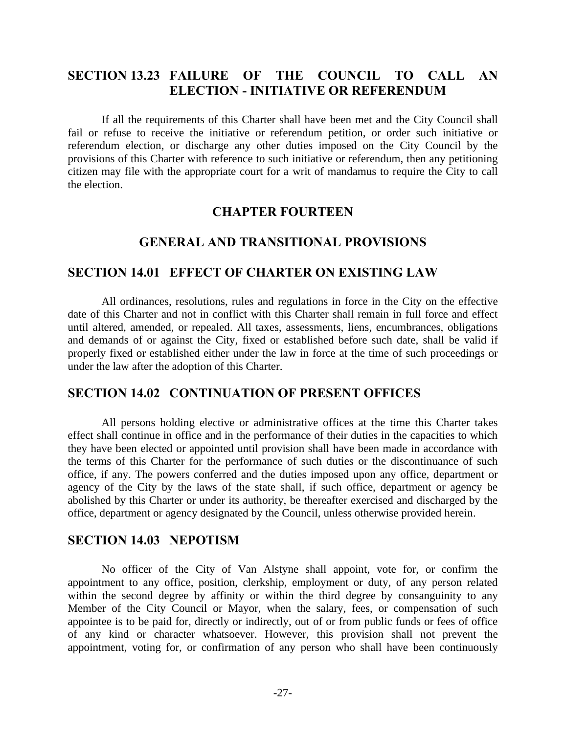#### **SECTION 13.23 FAILURE OF THE COUNCIL TO CALL AN ELECTION - INITIATIVE OR REFERENDUM**

If all the requirements of this Charter shall have been met and the City Council shall fail or refuse to receive the initiative or referendum petition, or order such initiative or referendum election, or discharge any other duties imposed on the City Council by the provisions of this Charter with reference to such initiative or referendum, then any petitioning citizen may file with the appropriate court for a writ of mandamus to require the City to call the election.

#### **CHAPTER FOURTEEN**

#### **GENERAL AND TRANSITIONAL PROVISIONS**

#### **SECTION 14.01 EFFECT OF CHARTER ON EXISTING LAW**

All ordinances, resolutions, rules and regulations in force in the City on the effective date of this Charter and not in conflict with this Charter shall remain in full force and effect until altered, amended, or repealed. All taxes, assessments, liens, encumbrances, obligations and demands of or against the City, fixed or established before such date, shall be valid if properly fixed or established either under the law in force at the time of such proceedings or under the law after the adoption of this Charter.

#### **SECTION 14.02 CONTINUATION OF PRESENT OFFICES**

All persons holding elective or administrative offices at the time this Charter takes effect shall continue in office and in the performance of their duties in the capacities to which they have been elected or appointed until provision shall have been made in accordance with the terms of this Charter for the performance of such duties or the discontinuance of such office, if any. The powers conferred and the duties imposed upon any office, department or agency of the City by the laws of the state shall, if such office, department or agency be abolished by this Charter or under its authority, be thereafter exercised and discharged by the office, department or agency designated by the Council, unless otherwise provided herein.

#### **SECTION 14.03 NEPOTISM**

No officer of the City of Van Alstyne shall appoint, vote for, or confirm the appointment to any office, position, clerkship, employment or duty, of any person related within the second degree by affinity or within the third degree by consanguinity to any Member of the City Council or Mayor, when the salary, fees, or compensation of such appointee is to be paid for, directly or indirectly, out of or from public funds or fees of office of any kind or character whatsoever. However, this provision shall not prevent the appointment, voting for, or confirmation of any person who shall have been continuously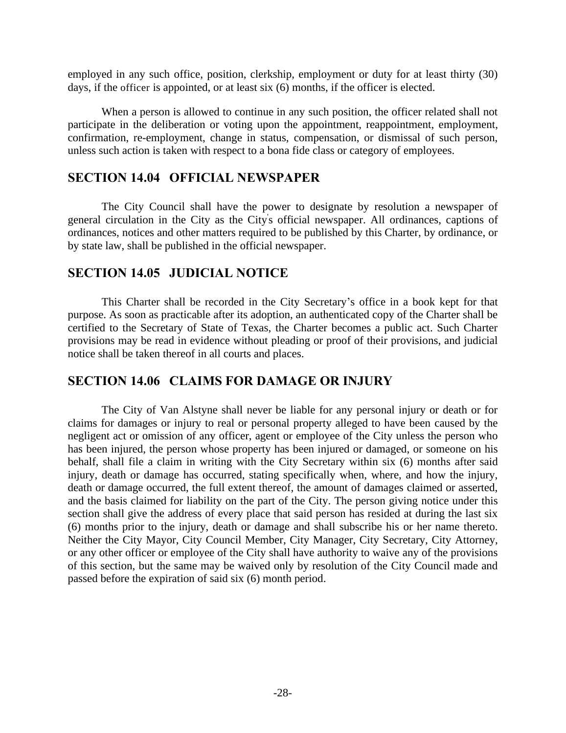employed in any such office, position, clerkship, employment or duty for at least thirty (30) days, if the officer is appointed, or at least six (6) months, if the officer is elected.

When a person is allowed to continue in any such position, the officer related shall not participate in the deliberation or voting upon the appointment, reappointment, employment, confirmation, re-employment, change in status, compensation, or dismissal of such person, unless such action is taken with respect to a bona fide class or category of employees.

#### **SECTION 14.04 OFFICIAL NEWSPAPER**

The City Council shall have the power to designate by resolution a newspaper of general circulation in the City as the City' s official newspaper. All ordinances, captions of ordinances, notices and other matters required to be published by this Charter, by ordinance, or by state law, shall be published in the official newspaper.

#### **SECTION 14.05 JUDICIAL NOTICE**

This Charter shall be recorded in the City Secretary's office in a book kept for that purpose. As soon as practicable after its adoption, an authenticated copy of the Charter shall be certified to the Secretary of State of Texas, the Charter becomes a public act. Such Charter provisions may be read in evidence without pleading or proof of their provisions, and judicial notice shall be taken thereof in all courts and places.

#### **SECTION 14.06 CLAIMS FOR DAMAGE OR INJURY**

The City of Van Alstyne shall never be liable for any personal injury or death or for claims for damages or injury to real or personal property alleged to have been caused by the negligent act or omission of any officer, agent or employee of the City unless the person who has been injured, the person whose property has been injured or damaged, or someone on his behalf, shall file a claim in writing with the City Secretary within six (6) months after said injury, death or damage has occurred, stating specifically when, where, and how the injury, death or damage occurred, the full extent thereof, the amount of damages claimed or asserted, and the basis claimed for liability on the part of the City. The person giving notice under this section shall give the address of every place that said person has resided at during the last six (6) months prior to the injury, death or damage and shall subscribe his or her name thereto. Neither the City Mayor, City Council Member, City Manager, City Secretary, City Attorney, or any other officer or employee of the City shall have authority to waive any of the provisions of this section, but the same may be waived only by resolution of the City Council made and passed before the expiration of said six (6) month period.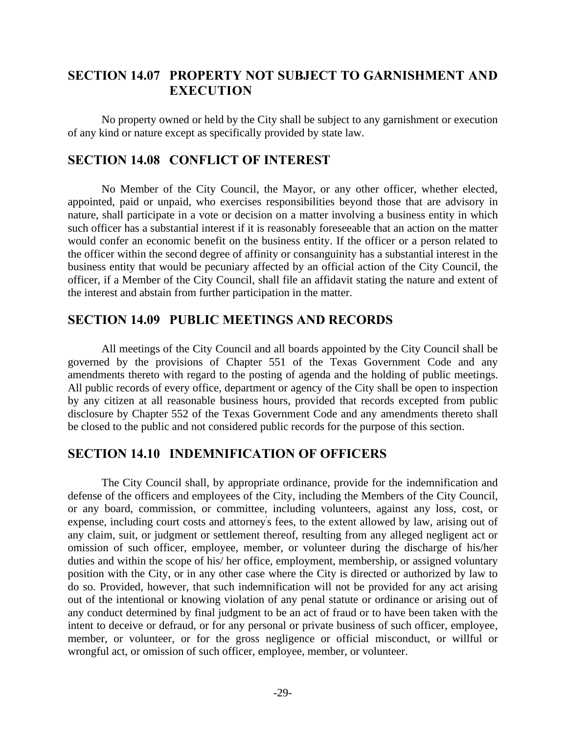#### **SECTION 14.07 PROPERTY NOT SUBJECT TO GARNISHMENT AND EXECUTION**

No property owned or held by the City shall be subject to any garnishment or execution of any kind or nature except as specifically provided by state law.

#### **SECTION 14.08 CONFLICT OF INTEREST**

No Member of the City Council, the Mayor, or any other officer, whether elected, appointed, paid or unpaid, who exercises responsibilities beyond those that are advisory in nature, shall participate in a vote or decision on a matter involving a business entity in which such officer has a substantial interest if it is reasonably foreseeable that an action on the matter would confer an economic benefit on the business entity. If the officer or a person related to the officer within the second degree of affinity or consanguinity has a substantial interest in the business entity that would be pecuniary affected by an official action of the City Council, the officer, if a Member of the City Council, shall file an affidavit stating the nature and extent of the interest and abstain from further participation in the matter.

#### **SECTION 14.09 PUBLIC MEETINGS AND RECORDS**

All meetings of the City Council and all boards appointed by the City Council shall be governed by the provisions of Chapter 551 of the Texas Government Code and any amendments thereto with regard to the posting of agenda and the holding of public meetings. All public records of every office, department or agency of the City shall be open to inspection by any citizen at all reasonable business hours, provided that records excepted from public disclosure by Chapter 552 of the Texas Government Code and any amendments thereto shall be closed to the public and not considered public records for the purpose of this section.

#### **SECTION 14.10 INDEMNIFICATION OF OFFICERS**

The City Council shall, by appropriate ordinance, provide for the indemnification and defense of the officers and employees of the City, including the Members of the City Council, or any board, commission, or committee, including volunteers, against any loss, cost, or expense, including court costs and attorney' s fees, to the extent allowed by law, arising out of any claim, suit, or judgment or settlement thereof, resulting from any alleged negligent act or omission of such officer, employee, member, or volunteer during the discharge of his/her duties and within the scope of his/ her office, employment, membership, or assigned voluntary position with the City, or in any other case where the City is directed or authorized by law to do so. Provided, however, that such indemnification will not be provided for any act arising out of the intentional or knowing violation of any penal statute or ordinance or arising out of any conduct determined by final judgment to be an act of fraud or to have been taken with the intent to deceive or defraud, or for any personal or private business of such officer, employee, member, or volunteer, or for the gross negligence or official misconduct, or willful or wrongful act, or omission of such officer, employee, member, or volunteer.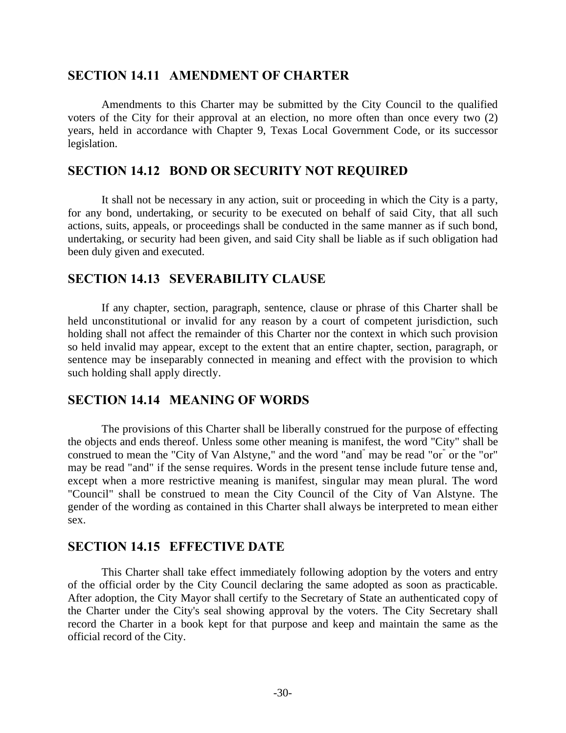#### **SECTION 14.11 AMENDMENT OF CHARTER**

Amendments to this Charter may be submitted by the City Council to the qualified voters of the City for their approval at an election, no more often than once every two (2) years, held in accordance with Chapter 9, Texas Local Government Code, or its successor legislation.

#### **SECTION 14.12 BOND OR SECURITY NOT REQUIRED**

It shall not be necessary in any action, suit or proceeding in which the City is a party, for any bond, undertaking, or security to be executed on behalf of said City, that all such actions, suits, appeals, or proceedings shall be conducted in the same manner as if such bond, undertaking, or security had been given, and said City shall be liable as if such obligation had been duly given and executed.

#### **SECTION 14.13 SEVERABILITY CLAUSE**

If any chapter, section, paragraph, sentence, clause or phrase of this Charter shall be held unconstitutional or invalid for any reason by a court of competent jurisdiction, such holding shall not affect the remainder of this Charter nor the context in which such provision so held invalid may appear, except to the extent that an entire chapter, section, paragraph, or sentence may be inseparably connected in meaning and effect with the provision to which such holding shall apply directly.

#### **SECTION 14.14 MEANING OF WORDS**

The provisions of this Charter shall be liberally construed for the purpose of effecting the objects and ends thereof. Unless some other meaning is manifest, the word "City" shall be construed to mean the "City of Van Alstyne," and the word "and<sup>"</sup> may be read "or<sup>"</sup> or the "or" may be read "and" if the sense requires. Words in the present tense include future tense and, except when a more restrictive meaning is manifest, singular may mean plural. The word "Council" shall be construed to mean the City Council of the City of Van Alstyne. The gender of the wording as contained in this Charter shall always be interpreted to mean either sex.

#### **SECTION 14.15 EFFECTIVE DATE**

This Charter shall take effect immediately following adoption by the voters and entry of the official order by the City Council declaring the same adopted as soon as practicable. After adoption, the City Mayor shall certify to the Secretary of State an authenticated copy of the Charter under the City's seal showing approval by the voters. The City Secretary shall record the Charter in a book kept for that purpose and keep and maintain the same as the official record of the City.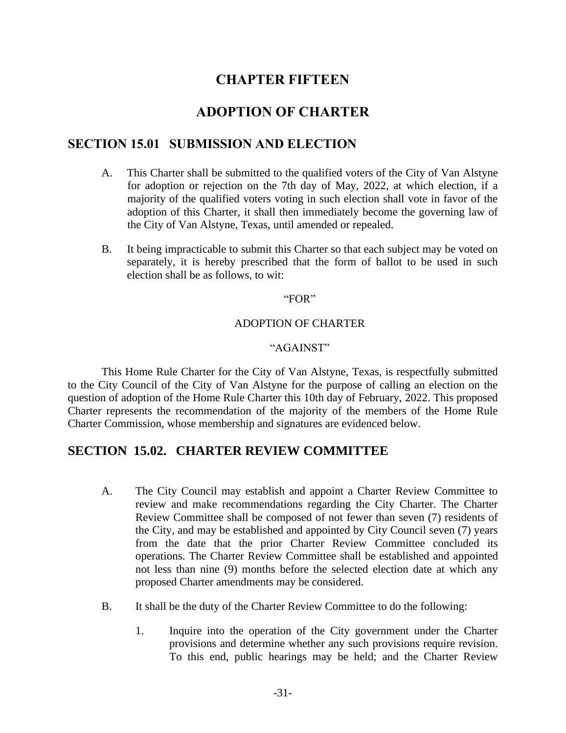### **CHAPTER FIFTEEN**

#### **ADOPTION OF CHARTER**

#### **SECTION 15.01 SUBMISSION AND ELECTION**

- A. This Charter shall be submitted to the qualified voters of the City of Van Alstyne for adoption or rejection on the 7th day of May, 2022, at which election, if a majority of the qualified voters voting in such election shall vote in favor of the adoption of this Charter, it shall then immediately become the governing law of the City of Van Alstyne, Texas, until amended or repealed.
- B. It being impracticable to submit this Charter so that each subject may be voted on separately, it is hereby prescribed that the form of ballot to be used in such election shall be as follows, to wit:

#### "FOR"

#### ADOPTION OF CHARTER

#### "AGAINST"

This Home Rule Charter for the City of Van Alstyne, Texas, is respectfully submitted to the City Council of the City of Van Alstyne for the purpose of calling an election on the question of adoption of the Home Rule Charter this 10th day of February, 2022. This proposed Charter represents the recommendation of the majority of the members of the Home Rule Charter Commission, whose membership and signatures are evidenced below.

#### **SECTION 15.02. CHARTER REVIEW COMMITTEE**

- A. The City Council may establish and appoint a Charter Review Committee to review and make recommendations regarding the City Charter. The Charter Review Committee shall be composed of not fewer than seven (7) residents of the City, and may be established and appointed by City Council seven (7) years from the date that the prior Charter Review Committee concluded its operations. The Charter Review Committee shall be established and appointed not less than nine (9) months before the selected election date at which any proposed Charter amendments may be considered.
- B. It shall be the duty of the Charter Review Committee to do the following:
	- 1. Inquire into the operation of the City government under the Charter provisions and determine whether any such provisions require revision. To this end, public hearings may be held; and the Charter Review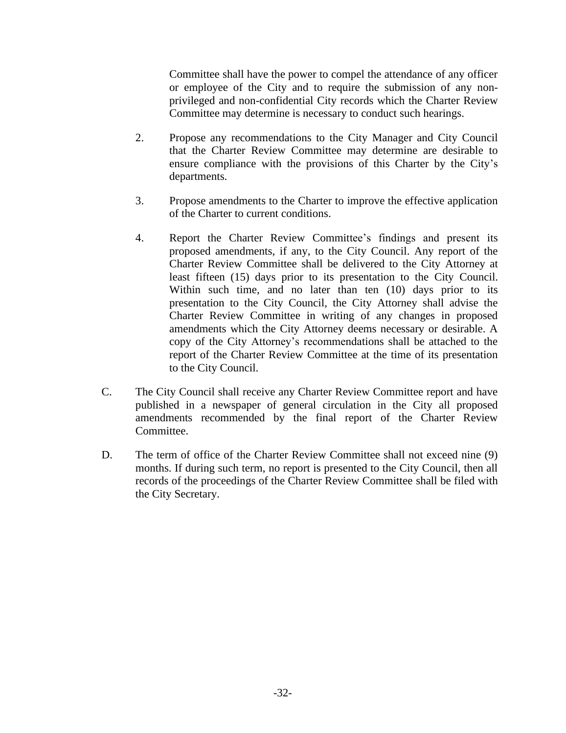Committee shall have the power to compel the attendance of any officer or employee of the City and to require the submission of any nonprivileged and non-confidential City records which the Charter Review Committee may determine is necessary to conduct such hearings.

- 2. Propose any recommendations to the City Manager and City Council that the Charter Review Committee may determine are desirable to ensure compliance with the provisions of this Charter by the City's departments.
- 3. Propose amendments to the Charter to improve the effective application of the Charter to current conditions.
- 4. Report the Charter Review Committee's findings and present its proposed amendments, if any, to the City Council. Any report of the Charter Review Committee shall be delivered to the City Attorney at least fifteen (15) days prior to its presentation to the City Council. Within such time, and no later than ten (10) days prior to its presentation to the City Council, the City Attorney shall advise the Charter Review Committee in writing of any changes in proposed amendments which the City Attorney deems necessary or desirable. A copy of the City Attorney's recommendations shall be attached to the report of the Charter Review Committee at the time of its presentation to the City Council.
- C. The City Council shall receive any Charter Review Committee report and have published in a newspaper of general circulation in the City all proposed amendments recommended by the final report of the Charter Review Committee.
- D. The term of office of the Charter Review Committee shall not exceed nine (9) months. If during such term, no report is presented to the City Council, then all records of the proceedings of the Charter Review Committee shall be filed with the City Secretary.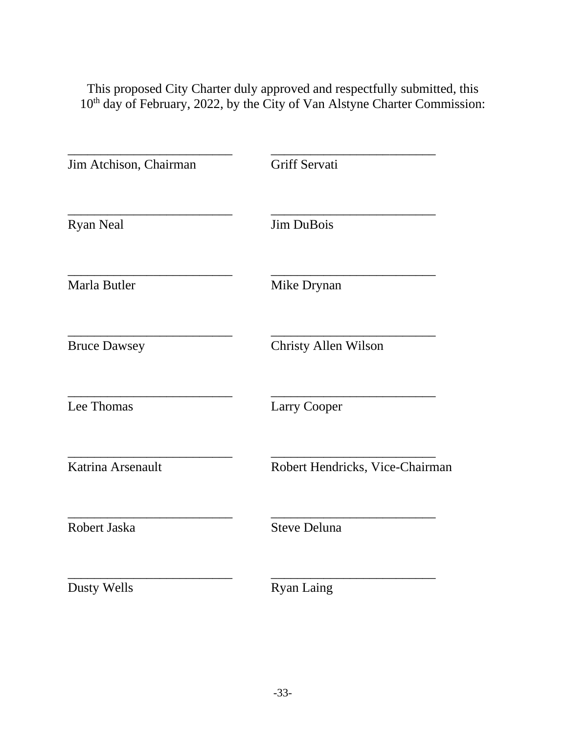This proposed City Charter duly approved and respectfully submitted, this 10<sup>th</sup> day of February, 2022, by the City of Van Alstyne Charter Commission:

| Jim Atchison, Chairman | Griff Servati                   |
|------------------------|---------------------------------|
| <b>Ryan Neal</b>       | <b>Jim DuBois</b>               |
| Marla Butler           | Mike Drynan                     |
| <b>Bruce Dawsey</b>    | <b>Christy Allen Wilson</b>     |
| Lee Thomas             | <b>Larry Cooper</b>             |
| Katrina Arsenault      | Robert Hendricks, Vice-Chairman |
| Robert Jaska           | <b>Steve Deluna</b>             |
| Dusty Wells            | <b>Ryan Laing</b>               |